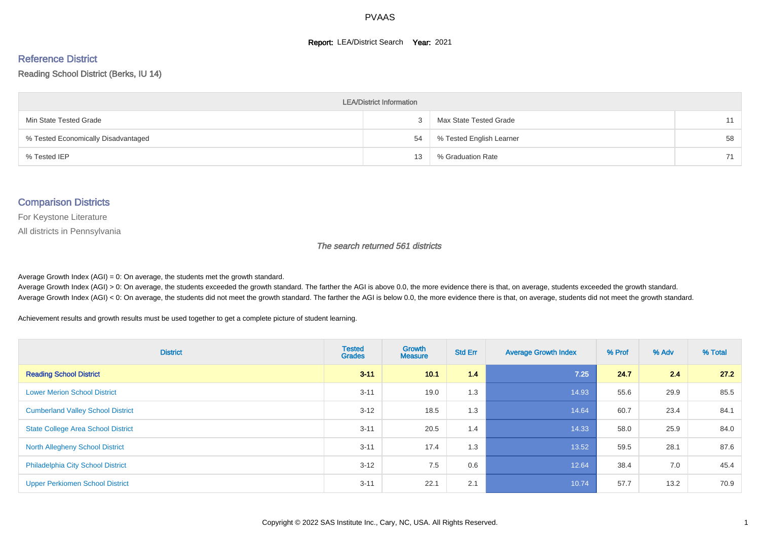#### **Report: LEA/District Search Year: 2021**

# Reference District

Reading School District (Berks, IU 14)

| <b>LEA/District Information</b>     |    |                          |    |  |  |  |  |  |  |
|-------------------------------------|----|--------------------------|----|--|--|--|--|--|--|
| Min State Tested Grade              |    | Max State Tested Grade   | 11 |  |  |  |  |  |  |
| % Tested Economically Disadvantaged | 54 | % Tested English Learner | 58 |  |  |  |  |  |  |
| % Tested IEP                        | 13 | % Graduation Rate        | 71 |  |  |  |  |  |  |

#### Comparison Districts

For Keystone Literature

All districts in Pennsylvania

The search returned 561 districts

Average Growth Index  $(AGI) = 0$ : On average, the students met the growth standard.

Average Growth Index (AGI) > 0: On average, the students exceeded the growth standard. The farther the AGI is above 0.0, the more evidence there is that, on average, students exceeded the growth standard. Average Growth Index (AGI) < 0: On average, the students did not meet the growth standard. The farther the AGI is below 0.0, the more evidence there is that, on average, students did not meet the growth standard.

Achievement results and growth results must be used together to get a complete picture of student learning.

| <b>District</b>                           | <b>Tested</b><br><b>Grades</b> | Growth<br><b>Measure</b> | <b>Std Err</b> | <b>Average Growth Index</b> | % Prof | % Adv | % Total |
|-------------------------------------------|--------------------------------|--------------------------|----------------|-----------------------------|--------|-------|---------|
| <b>Reading School District</b>            | $3 - 11$                       | 10.1                     | 1.4            | 7.25                        | 24.7   | 2.4   | 27.2    |
| <b>Lower Merion School District</b>       | $3 - 11$                       | 19.0                     | 1.3            | 14.93                       | 55.6   | 29.9  | 85.5    |
| <b>Cumberland Valley School District</b>  | $3 - 12$                       | 18.5                     | 1.3            | 14.64                       | 60.7   | 23.4  | 84.1    |
| <b>State College Area School District</b> | $3 - 11$                       | 20.5                     | 1.4            | 14.33                       | 58.0   | 25.9  | 84.0    |
| <b>North Allegheny School District</b>    | $3 - 11$                       | 17.4                     | 1.3            | 13.52                       | 59.5   | 28.1  | 87.6    |
| <b>Philadelphia City School District</b>  | $3 - 12$                       | 7.5                      | 0.6            | 12.64                       | 38.4   | 7.0   | 45.4    |
| <b>Upper Perkiomen School District</b>    | $3 - 11$                       | 22.1                     | 2.1            | 10.74                       | 57.7   | 13.2  | 70.9    |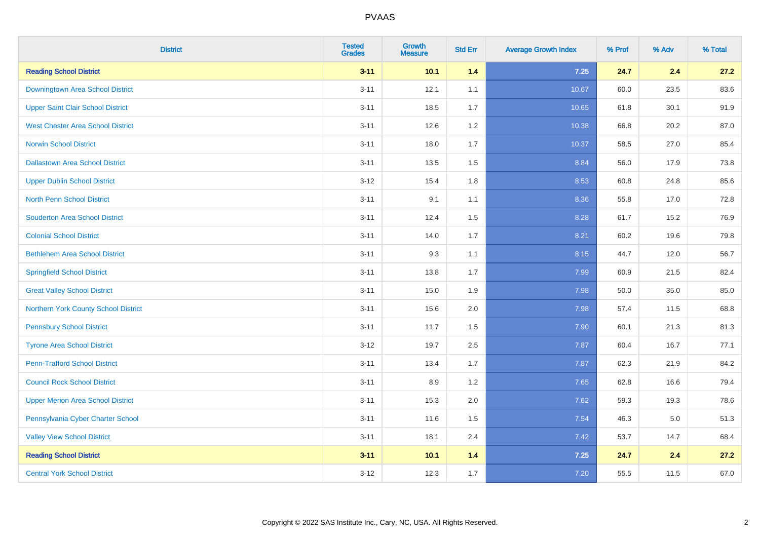| <b>District</b>                          | <b>Tested</b><br><b>Grades</b> | Growth<br><b>Measure</b> | <b>Std Err</b> | <b>Average Growth Index</b> | % Prof | % Adv | % Total |
|------------------------------------------|--------------------------------|--------------------------|----------------|-----------------------------|--------|-------|---------|
| <b>Reading School District</b>           | $3 - 11$                       | 10.1                     | 1.4            | $7.25$                      | 24.7   | 2.4   | 27.2    |
| Downingtown Area School District         | $3 - 11$                       | 12.1                     | 1.1            | 10.67                       | 60.0   | 23.5  | 83.6    |
| <b>Upper Saint Clair School District</b> | $3 - 11$                       | 18.5                     | 1.7            | 10.65                       | 61.8   | 30.1  | 91.9    |
| <b>West Chester Area School District</b> | $3 - 11$                       | 12.6                     | $1.2\,$        | 10.38                       | 66.8   | 20.2  | 87.0    |
| <b>Norwin School District</b>            | $3 - 11$                       | 18.0                     | 1.7            | 10.37                       | 58.5   | 27.0  | 85.4    |
| <b>Dallastown Area School District</b>   | $3 - 11$                       | 13.5                     | 1.5            | 8.84                        | 56.0   | 17.9  | 73.8    |
| <b>Upper Dublin School District</b>      | $3 - 12$                       | 15.4                     | 1.8            | 8.53                        | 60.8   | 24.8  | 85.6    |
| <b>North Penn School District</b>        | $3 - 11$                       | 9.1                      | 1.1            | 8.36                        | 55.8   | 17.0  | 72.8    |
| <b>Souderton Area School District</b>    | $3 - 11$                       | 12.4                     | 1.5            | 8.28                        | 61.7   | 15.2  | 76.9    |
| <b>Colonial School District</b>          | $3 - 11$                       | 14.0                     | 1.7            | 8.21                        | 60.2   | 19.6  | 79.8    |
| <b>Bethlehem Area School District</b>    | $3 - 11$                       | 9.3                      | 1.1            | 8.15                        | 44.7   | 12.0  | 56.7    |
| <b>Springfield School District</b>       | $3 - 11$                       | 13.8                     | 1.7            | 7.99                        | 60.9   | 21.5  | 82.4    |
| <b>Great Valley School District</b>      | $3 - 11$                       | 15.0                     | 1.9            | 7.98                        | 50.0   | 35.0  | 85.0    |
| Northern York County School District     | $3 - 11$                       | 15.6                     | 2.0            | 7.98                        | 57.4   | 11.5  | 68.8    |
| <b>Pennsbury School District</b>         | $3 - 11$                       | 11.7                     | 1.5            | 7.90                        | 60.1   | 21.3  | 81.3    |
| <b>Tyrone Area School District</b>       | $3 - 12$                       | 19.7                     | 2.5            | 7.87                        | 60.4   | 16.7  | 77.1    |
| <b>Penn-Trafford School District</b>     | $3 - 11$                       | 13.4                     | 1.7            | 7.87                        | 62.3   | 21.9  | 84.2    |
| <b>Council Rock School District</b>      | $3 - 11$                       | 8.9                      | 1.2            | 7.65                        | 62.8   | 16.6  | 79.4    |
| <b>Upper Merion Area School District</b> | $3 - 11$                       | 15.3                     | 2.0            | 7.62                        | 59.3   | 19.3  | 78.6    |
| Pennsylvania Cyber Charter School        | $3 - 11$                       | 11.6                     | 1.5            | 7.54                        | 46.3   | 5.0   | 51.3    |
| <b>Valley View School District</b>       | $3 - 11$                       | 18.1                     | 2.4            | 7.42                        | 53.7   | 14.7  | 68.4    |
| <b>Reading School District</b>           | $3 - 11$                       | 10.1                     | $1.4$          | 7.25                        | 24.7   | 2.4   | 27.2    |
| <b>Central York School District</b>      | $3-12$                         | 12.3                     | 1.7            | $7.20$                      | 55.5   | 11.5  | 67.0    |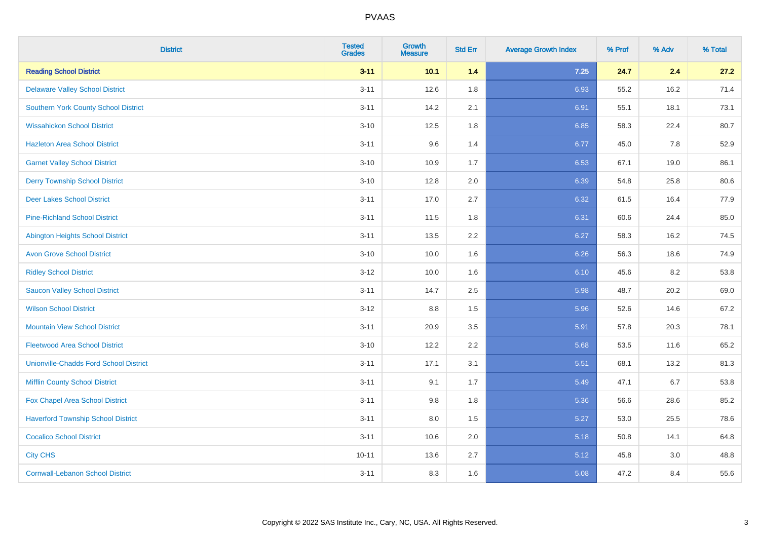| <b>District</b>                               | <b>Tested</b><br><b>Grades</b> | Growth<br><b>Measure</b> | <b>Std Err</b> | <b>Average Growth Index</b> | % Prof | % Adv | % Total |
|-----------------------------------------------|--------------------------------|--------------------------|----------------|-----------------------------|--------|-------|---------|
| <b>Reading School District</b>                | $3 - 11$                       | 10.1                     | 1.4            | $7.25$                      | 24.7   | 2.4   | 27.2    |
| <b>Delaware Valley School District</b>        | $3 - 11$                       | 12.6                     | 1.8            | 6.93                        | 55.2   | 16.2  | 71.4    |
| <b>Southern York County School District</b>   | $3 - 11$                       | 14.2                     | 2.1            | 6.91                        | 55.1   | 18.1  | 73.1    |
| <b>Wissahickon School District</b>            | $3 - 10$                       | 12.5                     | 1.8            | 6.85                        | 58.3   | 22.4  | 80.7    |
| <b>Hazleton Area School District</b>          | $3 - 11$                       | 9.6                      | 1.4            | 6.77                        | 45.0   | 7.8   | 52.9    |
| <b>Garnet Valley School District</b>          | $3 - 10$                       | 10.9                     | 1.7            | 6.53                        | 67.1   | 19.0  | 86.1    |
| <b>Derry Township School District</b>         | $3 - 10$                       | 12.8                     | 2.0            | 6.39                        | 54.8   | 25.8  | 80.6    |
| <b>Deer Lakes School District</b>             | $3 - 11$                       | 17.0                     | 2.7            | 6.32                        | 61.5   | 16.4  | 77.9    |
| <b>Pine-Richland School District</b>          | $3 - 11$                       | 11.5                     | 1.8            | 6.31                        | 60.6   | 24.4  | 85.0    |
| <b>Abington Heights School District</b>       | $3 - 11$                       | 13.5                     | 2.2            | 6.27                        | 58.3   | 16.2  | 74.5    |
| <b>Avon Grove School District</b>             | $3 - 10$                       | 10.0                     | 1.6            | 6.26                        | 56.3   | 18.6  | 74.9    |
| <b>Ridley School District</b>                 | $3 - 12$                       | 10.0                     | 1.6            | 6.10                        | 45.6   | 8.2   | 53.8    |
| <b>Saucon Valley School District</b>          | $3 - 11$                       | 14.7                     | 2.5            | 5.98                        | 48.7   | 20.2  | 69.0    |
| <b>Wilson School District</b>                 | $3 - 12$                       | 8.8                      | 1.5            | 5.96                        | 52.6   | 14.6  | 67.2    |
| <b>Mountain View School District</b>          | $3 - 11$                       | 20.9                     | 3.5            | 5.91                        | 57.8   | 20.3  | 78.1    |
| <b>Fleetwood Area School District</b>         | $3 - 10$                       | 12.2                     | 2.2            | 5.68                        | 53.5   | 11.6  | 65.2    |
| <b>Unionville-Chadds Ford School District</b> | $3 - 11$                       | 17.1                     | 3.1            | 5.51                        | 68.1   | 13.2  | 81.3    |
| <b>Mifflin County School District</b>         | $3 - 11$                       | 9.1                      | 1.7            | 5.49                        | 47.1   | 6.7   | 53.8    |
| Fox Chapel Area School District               | $3 - 11$                       | 9.8                      | 1.8            | 5.36                        | 56.6   | 28.6  | 85.2    |
| <b>Haverford Township School District</b>     | $3 - 11$                       | 8.0                      | 1.5            | 5.27                        | 53.0   | 25.5  | 78.6    |
| <b>Cocalico School District</b>               | $3 - 11$                       | 10.6                     | 2.0            | 5.18                        | 50.8   | 14.1  | 64.8    |
| <b>City CHS</b>                               | $10 - 11$                      | 13.6                     | 2.7            | 5.12                        | 45.8   | 3.0   | 48.8    |
| <b>Cornwall-Lebanon School District</b>       | $3 - 11$                       | 8.3                      | 1.6            | 5.08                        | 47.2   | 8.4   | 55.6    |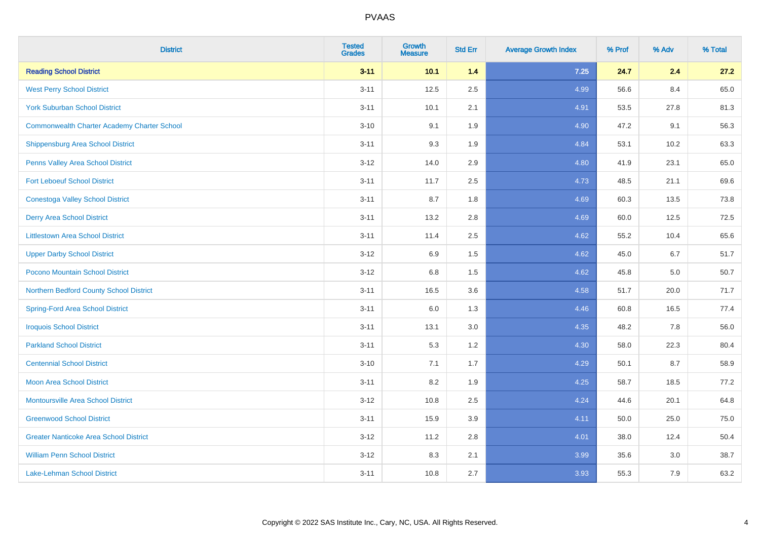| <b>District</b>                                    | <b>Tested</b><br><b>Grades</b> | <b>Growth</b><br><b>Measure</b> | <b>Std Err</b> | <b>Average Growth Index</b> | % Prof | % Adv | % Total |
|----------------------------------------------------|--------------------------------|---------------------------------|----------------|-----------------------------|--------|-------|---------|
| <b>Reading School District</b>                     | $3 - 11$                       | 10.1                            | 1.4            | 7.25                        | 24.7   | 2.4   | 27.2    |
| <b>West Perry School District</b>                  | $3 - 11$                       | 12.5                            | 2.5            | 4.99                        | 56.6   | 8.4   | 65.0    |
| <b>York Suburban School District</b>               | $3 - 11$                       | 10.1                            | 2.1            | 4.91                        | 53.5   | 27.8  | 81.3    |
| <b>Commonwealth Charter Academy Charter School</b> | $3 - 10$                       | 9.1                             | 1.9            | 4.90                        | 47.2   | 9.1   | 56.3    |
| Shippensburg Area School District                  | $3 - 11$                       | 9.3                             | 1.9            | 4.84                        | 53.1   | 10.2  | 63.3    |
| Penns Valley Area School District                  | $3 - 12$                       | 14.0                            | 2.9            | 4.80                        | 41.9   | 23.1  | 65.0    |
| <b>Fort Leboeuf School District</b>                | $3 - 11$                       | 11.7                            | 2.5            | 4.73                        | 48.5   | 21.1  | 69.6    |
| <b>Conestoga Valley School District</b>            | $3 - 11$                       | 8.7                             | 1.8            | 4.69                        | 60.3   | 13.5  | 73.8    |
| <b>Derry Area School District</b>                  | $3 - 11$                       | 13.2                            | 2.8            | 4.69                        | 60.0   | 12.5  | 72.5    |
| <b>Littlestown Area School District</b>            | $3 - 11$                       | 11.4                            | $2.5\,$        | 4.62                        | 55.2   | 10.4  | 65.6    |
| <b>Upper Darby School District</b>                 | $3 - 12$                       | 6.9                             | 1.5            | 4.62                        | 45.0   | 6.7   | 51.7    |
| Pocono Mountain School District                    | $3 - 12$                       | 6.8                             | 1.5            | 4.62                        | 45.8   | 5.0   | 50.7    |
| Northern Bedford County School District            | $3 - 11$                       | 16.5                            | 3.6            | 4.58                        | 51.7   | 20.0  | 71.7    |
| <b>Spring-Ford Area School District</b>            | $3 - 11$                       | 6.0                             | 1.3            | 4.46                        | 60.8   | 16.5  | 77.4    |
| <b>Iroquois School District</b>                    | $3 - 11$                       | 13.1                            | 3.0            | 4.35                        | 48.2   | 7.8   | 56.0    |
| <b>Parkland School District</b>                    | $3 - 11$                       | 5.3                             | 1.2            | 4.30                        | 58.0   | 22.3  | 80.4    |
| <b>Centennial School District</b>                  | $3 - 10$                       | 7.1                             | 1.7            | 4.29                        | 50.1   | 8.7   | 58.9    |
| <b>Moon Area School District</b>                   | $3 - 11$                       | 8.2                             | 1.9            | 4.25                        | 58.7   | 18.5  | 77.2    |
| <b>Montoursville Area School District</b>          | $3 - 12$                       | 10.8                            | 2.5            | 4.24                        | 44.6   | 20.1  | 64.8    |
| <b>Greenwood School District</b>                   | $3 - 11$                       | 15.9                            | 3.9            | 4.11                        | 50.0   | 25.0  | 75.0    |
| <b>Greater Nanticoke Area School District</b>      | $3 - 12$                       | 11.2                            | 2.8            | 4.01                        | 38.0   | 12.4  | 50.4    |
| <b>William Penn School District</b>                | $3 - 12$                       | 8.3                             | 2.1            | 3.99                        | 35.6   | 3.0   | 38.7    |
| <b>Lake-Lehman School District</b>                 | $3 - 11$                       | 10.8                            | 2.7            | 3.93                        | 55.3   | 7.9   | 63.2    |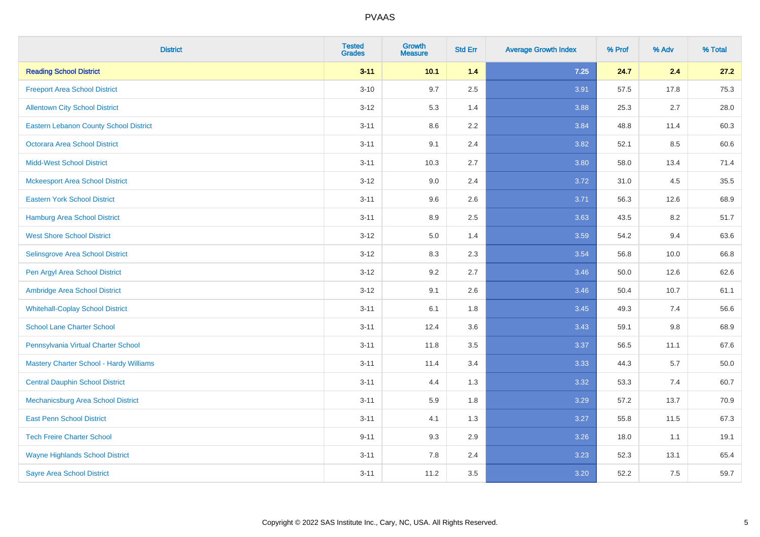| <b>District</b>                               | <b>Tested</b><br><b>Grades</b> | <b>Growth</b><br><b>Measure</b> | <b>Std Err</b> | <b>Average Growth Index</b> | % Prof | % Adv   | % Total |
|-----------------------------------------------|--------------------------------|---------------------------------|----------------|-----------------------------|--------|---------|---------|
| <b>Reading School District</b>                | $3 - 11$                       | 10.1                            | 1.4            | $7.25$                      | 24.7   | 2.4     | 27.2    |
| <b>Freeport Area School District</b>          | $3 - 10$                       | 9.7                             | 2.5            | 3.91                        | 57.5   | 17.8    | 75.3    |
| <b>Allentown City School District</b>         | $3 - 12$                       | 5.3                             | 1.4            | 3.88                        | 25.3   | 2.7     | 28.0    |
| <b>Eastern Lebanon County School District</b> | $3 - 11$                       | 8.6                             | 2.2            | 3.84                        | 48.8   | 11.4    | 60.3    |
| <b>Octorara Area School District</b>          | $3 - 11$                       | 9.1                             | 2.4            | 3.82                        | 52.1   | 8.5     | 60.6    |
| <b>Midd-West School District</b>              | $3 - 11$                       | 10.3                            | 2.7            | 3.80                        | 58.0   | 13.4    | 71.4    |
| <b>Mckeesport Area School District</b>        | $3 - 12$                       | 9.0                             | 2.4            | 3.72                        | 31.0   | 4.5     | 35.5    |
| <b>Eastern York School District</b>           | $3 - 11$                       | 9.6                             | 2.6            | 3.71                        | 56.3   | 12.6    | 68.9    |
| <b>Hamburg Area School District</b>           | $3 - 11$                       | 8.9                             | 2.5            | 3.63                        | 43.5   | 8.2     | 51.7    |
| <b>West Shore School District</b>             | $3 - 12$                       | 5.0                             | 1.4            | 3.59                        | 54.2   | 9.4     | 63.6    |
| Selinsgrove Area School District              | $3 - 12$                       | 8.3                             | 2.3            | 3.54                        | 56.8   | 10.0    | 66.8    |
| Pen Argyl Area School District                | $3 - 12$                       | 9.2                             | 2.7            | 3.46                        | 50.0   | 12.6    | 62.6    |
| Ambridge Area School District                 | $3 - 12$                       | 9.1                             | 2.6            | 3.46                        | 50.4   | 10.7    | 61.1    |
| <b>Whitehall-Coplay School District</b>       | $3 - 11$                       | 6.1                             | 1.8            | 3.45                        | 49.3   | 7.4     | 56.6    |
| <b>School Lane Charter School</b>             | $3 - 11$                       | 12.4                            | 3.6            | 3.43                        | 59.1   | $9.8\,$ | 68.9    |
| Pennsylvania Virtual Charter School           | $3 - 11$                       | 11.8                            | 3.5            | 3.37                        | 56.5   | 11.1    | 67.6    |
| Mastery Charter School - Hardy Williams       | $3 - 11$                       | 11.4                            | 3.4            | 3.33                        | 44.3   | 5.7     | 50.0    |
| <b>Central Dauphin School District</b>        | $3 - 11$                       | 4.4                             | 1.3            | 3.32                        | 53.3   | 7.4     | 60.7    |
| Mechanicsburg Area School District            | $3 - 11$                       | 5.9                             | 1.8            | 3.29                        | 57.2   | 13.7    | 70.9    |
| <b>East Penn School District</b>              | $3 - 11$                       | 4.1                             | 1.3            | 3.27                        | 55.8   | 11.5    | 67.3    |
| <b>Tech Freire Charter School</b>             | $9 - 11$                       | 9.3                             | 2.9            | 3.26                        | 18.0   | 1.1     | 19.1    |
| <b>Wayne Highlands School District</b>        | $3 - 11$                       | 7.8                             | 2.4            | 3.23                        | 52.3   | 13.1    | 65.4    |
| <b>Sayre Area School District</b>             | $3 - 11$                       | 11.2                            | 3.5            | 3.20                        | 52.2   | 7.5     | 59.7    |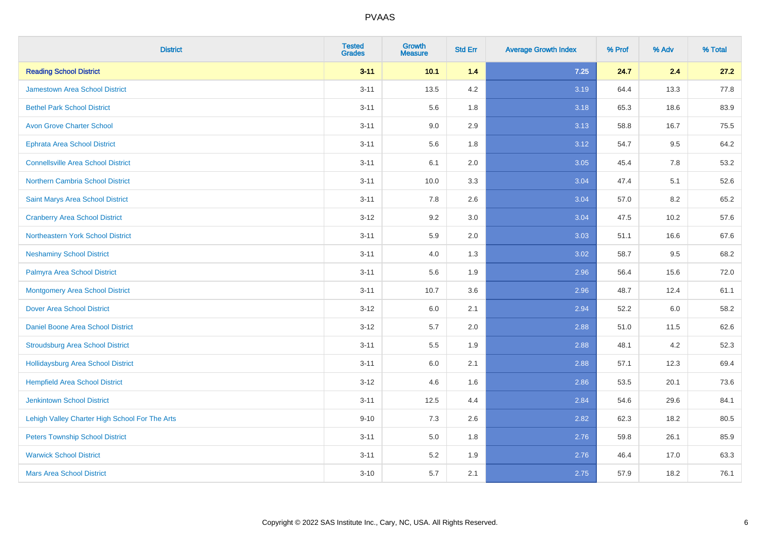| <b>District</b>                                | <b>Tested</b><br><b>Grades</b> | Growth<br><b>Measure</b> | <b>Std Err</b> | <b>Average Growth Index</b> | % Prof | % Adv | % Total |
|------------------------------------------------|--------------------------------|--------------------------|----------------|-----------------------------|--------|-------|---------|
| <b>Reading School District</b>                 | $3 - 11$                       | 10.1                     | $1.4$          | $7.25$                      | 24.7   | 2.4   | 27.2    |
| Jamestown Area School District                 | $3 - 11$                       | 13.5                     | 4.2            | 3.19                        | 64.4   | 13.3  | 77.8    |
| <b>Bethel Park School District</b>             | $3 - 11$                       | 5.6                      | 1.8            | 3.18                        | 65.3   | 18.6  | 83.9    |
| <b>Avon Grove Charter School</b>               | $3 - 11$                       | 9.0                      | 2.9            | 3.13                        | 58.8   | 16.7  | 75.5    |
| <b>Ephrata Area School District</b>            | $3 - 11$                       | 5.6                      | 1.8            | 3.12                        | 54.7   | 9.5   | 64.2    |
| <b>Connellsville Area School District</b>      | $3 - 11$                       | 6.1                      | 2.0            | 3.05                        | 45.4   | 7.8   | 53.2    |
| Northern Cambria School District               | $3 - 11$                       | 10.0                     | 3.3            | 3.04                        | 47.4   | 5.1   | 52.6    |
| Saint Marys Area School District               | $3 - 11$                       | 7.8                      | 2.6            | 3.04                        | 57.0   | 8.2   | 65.2    |
| <b>Cranberry Area School District</b>          | $3 - 12$                       | 9.2                      | 3.0            | 3.04                        | 47.5   | 10.2  | 57.6    |
| Northeastern York School District              | $3 - 11$                       | 5.9                      | 2.0            | 3.03                        | 51.1   | 16.6  | 67.6    |
| <b>Neshaminy School District</b>               | $3 - 11$                       | 4.0                      | 1.3            | 3.02                        | 58.7   | 9.5   | 68.2    |
| Palmyra Area School District                   | $3 - 11$                       | 5.6                      | 1.9            | 2.96                        | 56.4   | 15.6  | 72.0    |
| <b>Montgomery Area School District</b>         | $3 - 11$                       | 10.7                     | 3.6            | 2.96                        | 48.7   | 12.4  | 61.1    |
| <b>Dover Area School District</b>              | $3 - 12$                       | 6.0                      | 2.1            | 2.94                        | 52.2   | 6.0   | 58.2    |
| Daniel Boone Area School District              | $3 - 12$                       | 5.7                      | 2.0            | 2.88                        | 51.0   | 11.5  | 62.6    |
| <b>Stroudsburg Area School District</b>        | $3 - 11$                       | 5.5                      | 1.9            | 2.88                        | 48.1   | 4.2   | 52.3    |
| <b>Hollidaysburg Area School District</b>      | $3 - 11$                       | 6.0                      | 2.1            | 2.88                        | 57.1   | 12.3  | 69.4    |
| <b>Hempfield Area School District</b>          | $3 - 12$                       | 4.6                      | 1.6            | 2.86                        | 53.5   | 20.1  | 73.6    |
| <b>Jenkintown School District</b>              | $3 - 11$                       | 12.5                     | 4.4            | 2.84                        | 54.6   | 29.6  | 84.1    |
| Lehigh Valley Charter High School For The Arts | $9 - 10$                       | 7.3                      | 2.6            | 2.82                        | 62.3   | 18.2  | 80.5    |
| <b>Peters Township School District</b>         | $3 - 11$                       | 5.0                      | 1.8            | 2.76                        | 59.8   | 26.1  | 85.9    |
| <b>Warwick School District</b>                 | $3 - 11$                       | 5.2                      | 1.9            | 2.76                        | 46.4   | 17.0  | 63.3    |
| <b>Mars Area School District</b>               | $3 - 10$                       | 5.7                      | 2.1            | 2.75                        | 57.9   | 18.2  | 76.1    |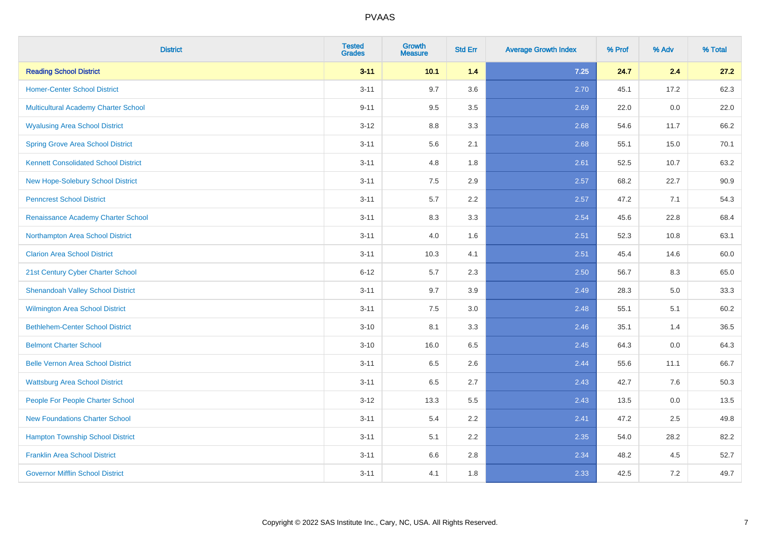| <b>District</b>                             | <b>Tested</b><br><b>Grades</b> | <b>Growth</b><br><b>Measure</b> | <b>Std Err</b> | <b>Average Growth Index</b> | % Prof | % Adv | % Total |
|---------------------------------------------|--------------------------------|---------------------------------|----------------|-----------------------------|--------|-------|---------|
| <b>Reading School District</b>              | $3 - 11$                       | 10.1                            | 1.4            | $7.25$                      | 24.7   | 2.4   | 27.2    |
| <b>Homer-Center School District</b>         | $3 - 11$                       | 9.7                             | 3.6            | 2.70                        | 45.1   | 17.2  | 62.3    |
| Multicultural Academy Charter School        | $9 - 11$                       | 9.5                             | 3.5            | 2.69                        | 22.0   | 0.0   | 22.0    |
| <b>Wyalusing Area School District</b>       | $3 - 12$                       | $8.8\,$                         | 3.3            | 2.68                        | 54.6   | 11.7  | 66.2    |
| <b>Spring Grove Area School District</b>    | $3 - 11$                       | 5.6                             | 2.1            | 2.68                        | 55.1   | 15.0  | 70.1    |
| <b>Kennett Consolidated School District</b> | $3 - 11$                       | 4.8                             | 1.8            | 2.61                        | 52.5   | 10.7  | 63.2    |
| New Hope-Solebury School District           | $3 - 11$                       | $7.5\,$                         | 2.9            | 2.57                        | 68.2   | 22.7  | 90.9    |
| <b>Penncrest School District</b>            | $3 - 11$                       | 5.7                             | 2.2            | 2.57                        | 47.2   | 7.1   | 54.3    |
| Renaissance Academy Charter School          | $3 - 11$                       | 8.3                             | 3.3            | 2.54                        | 45.6   | 22.8  | 68.4    |
| Northampton Area School District            | $3 - 11$                       | 4.0                             | 1.6            | 2.51                        | 52.3   | 10.8  | 63.1    |
| <b>Clarion Area School District</b>         | $3 - 11$                       | 10.3                            | 4.1            | 2.51                        | 45.4   | 14.6  | 60.0    |
| 21st Century Cyber Charter School           | $6 - 12$                       | 5.7                             | 2.3            | 2.50                        | 56.7   | 8.3   | 65.0    |
| <b>Shenandoah Valley School District</b>    | $3 - 11$                       | 9.7                             | 3.9            | 2.49                        | 28.3   | 5.0   | 33.3    |
| Wilmington Area School District             | $3 - 11$                       | 7.5                             | 3.0            | 2.48                        | 55.1   | 5.1   | 60.2    |
| <b>Bethlehem-Center School District</b>     | $3 - 10$                       | 8.1                             | 3.3            | 2.46                        | 35.1   | 1.4   | 36.5    |
| <b>Belmont Charter School</b>               | $3 - 10$                       | 16.0                            | 6.5            | 2.45                        | 64.3   | 0.0   | 64.3    |
| <b>Belle Vernon Area School District</b>    | $3 - 11$                       | 6.5                             | 2.6            | 2.44                        | 55.6   | 11.1  | 66.7    |
| <b>Wattsburg Area School District</b>       | $3 - 11$                       | 6.5                             | 2.7            | 2.43                        | 42.7   | 7.6   | 50.3    |
| People For People Charter School            | $3 - 12$                       | 13.3                            | 5.5            | 2.43                        | 13.5   | 0.0   | 13.5    |
| <b>New Foundations Charter School</b>       | $3 - 11$                       | 5.4                             | 2.2            | 2.41                        | 47.2   | 2.5   | 49.8    |
| <b>Hampton Township School District</b>     | $3 - 11$                       | 5.1                             | 2.2            | 2.35                        | 54.0   | 28.2  | 82.2    |
| <b>Franklin Area School District</b>        | $3 - 11$                       | 6.6                             | 2.8            | 2.34                        | 48.2   | 4.5   | 52.7    |
| <b>Governor Mifflin School District</b>     | $3 - 11$                       | 4.1                             | 1.8            | 2.33                        | 42.5   | 7.2   | 49.7    |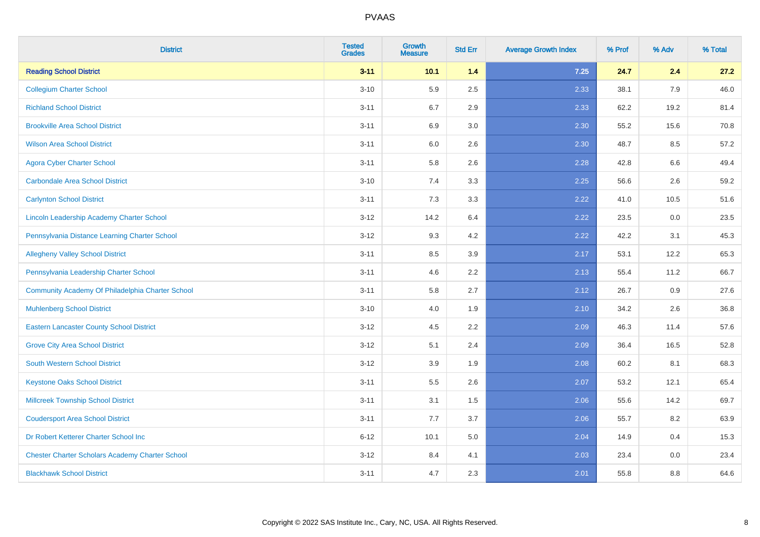| <b>District</b>                                        | <b>Tested</b><br><b>Grades</b> | Growth<br><b>Measure</b> | <b>Std Err</b> | <b>Average Growth Index</b> | % Prof | % Adv | % Total |
|--------------------------------------------------------|--------------------------------|--------------------------|----------------|-----------------------------|--------|-------|---------|
| <b>Reading School District</b>                         | $3 - 11$                       | 10.1                     | $1.4$          | 7.25                        | 24.7   | 2.4   | 27.2    |
| <b>Collegium Charter School</b>                        | $3 - 10$                       | 5.9                      | 2.5            | 2.33                        | 38.1   | 7.9   | 46.0    |
| <b>Richland School District</b>                        | $3 - 11$                       | 6.7                      | 2.9            | 2.33                        | 62.2   | 19.2  | 81.4    |
| <b>Brookville Area School District</b>                 | $3 - 11$                       | 6.9                      | 3.0            | 2.30                        | 55.2   | 15.6  | 70.8    |
| <b>Wilson Area School District</b>                     | $3 - 11$                       | 6.0                      | 2.6            | 2.30                        | 48.7   | 8.5   | 57.2    |
| <b>Agora Cyber Charter School</b>                      | $3 - 11$                       | 5.8                      | 2.6            | 2.28                        | 42.8   | 6.6   | 49.4    |
| <b>Carbondale Area School District</b>                 | $3 - 10$                       | 7.4                      | 3.3            | 2.25                        | 56.6   | 2.6   | 59.2    |
| <b>Carlynton School District</b>                       | $3 - 11$                       | 7.3                      | 3.3            | 2.22                        | 41.0   | 10.5  | 51.6    |
| Lincoln Leadership Academy Charter School              | $3 - 12$                       | 14.2                     | 6.4            | 2.22                        | 23.5   | 0.0   | 23.5    |
| Pennsylvania Distance Learning Charter School          | $3 - 12$                       | 9.3                      | 4.2            | 2.22                        | 42.2   | 3.1   | 45.3    |
| <b>Allegheny Valley School District</b>                | $3 - 11$                       | 8.5                      | 3.9            | 2.17                        | 53.1   | 12.2  | 65.3    |
| Pennsylvania Leadership Charter School                 | $3 - 11$                       | 4.6                      | 2.2            | 2.13                        | 55.4   | 11.2  | 66.7    |
| Community Academy Of Philadelphia Charter School       | $3 - 11$                       | 5.8                      | 2.7            | 2.12                        | 26.7   | 0.9   | 27.6    |
| <b>Muhlenberg School District</b>                      | $3 - 10$                       | 4.0                      | 1.9            | 2.10                        | 34.2   | 2.6   | 36.8    |
| <b>Eastern Lancaster County School District</b>        | $3 - 12$                       | 4.5                      | 2.2            | 2.09                        | 46.3   | 11.4  | 57.6    |
| <b>Grove City Area School District</b>                 | $3 - 12$                       | 5.1                      | 2.4            | 2.09                        | 36.4   | 16.5  | 52.8    |
| <b>South Western School District</b>                   | $3 - 12$                       | 3.9                      | 1.9            | 2.08                        | 60.2   | 8.1   | 68.3    |
| <b>Keystone Oaks School District</b>                   | $3 - 11$                       | $5.5\,$                  | 2.6            | 2.07                        | 53.2   | 12.1  | 65.4    |
| <b>Millcreek Township School District</b>              | $3 - 11$                       | 3.1                      | 1.5            | 2.06                        | 55.6   | 14.2  | 69.7    |
| <b>Coudersport Area School District</b>                | $3 - 11$                       | 7.7                      | 3.7            | 2.06                        | 55.7   | 8.2   | 63.9    |
| Dr Robert Ketterer Charter School Inc                  | $6 - 12$                       | 10.1                     | 5.0            | 2.04                        | 14.9   | 0.4   | 15.3    |
| <b>Chester Charter Scholars Academy Charter School</b> | $3 - 12$                       | 8.4                      | 4.1            | 2.03                        | 23.4   | 0.0   | 23.4    |
| <b>Blackhawk School District</b>                       | $3 - 11$                       | 4.7                      | 2.3            | 2.01                        | 55.8   | 8.8   | 64.6    |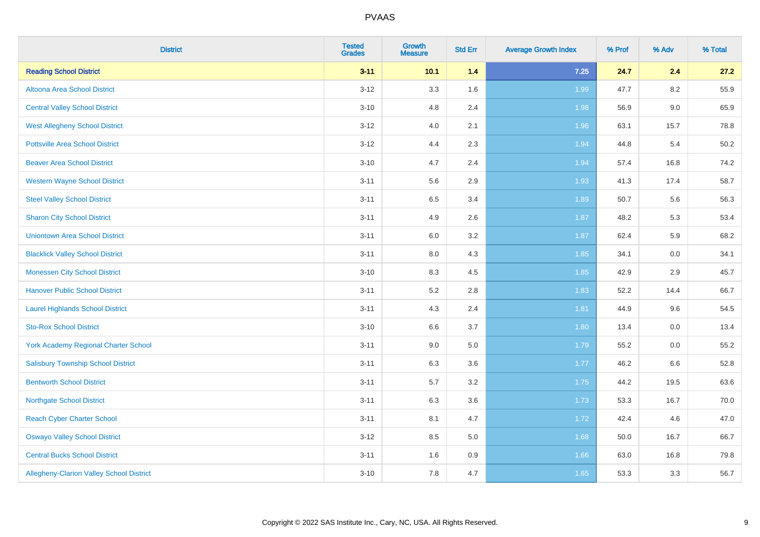| <b>District</b>                             | <b>Tested</b><br><b>Grades</b> | Growth<br><b>Measure</b> | <b>Std Err</b> | <b>Average Growth Index</b> | % Prof | % Adv | % Total |
|---------------------------------------------|--------------------------------|--------------------------|----------------|-----------------------------|--------|-------|---------|
| <b>Reading School District</b>              | $3 - 11$                       | 10.1                     | $1.4$          | $7.25$                      | 24.7   | 2.4   | 27.2    |
| Altoona Area School District                | $3 - 12$                       | 3.3                      | 1.6            | 1.99                        | 47.7   | 8.2   | 55.9    |
| <b>Central Valley School District</b>       | $3 - 10$                       | 4.8                      | 2.4            | 1.98                        | 56.9   | 9.0   | 65.9    |
| <b>West Allegheny School District</b>       | $3 - 12$                       | 4.0                      | 2.1            | 1.96                        | 63.1   | 15.7  | 78.8    |
| <b>Pottsville Area School District</b>      | $3 - 12$                       | 4.4                      | 2.3            | 1.94                        | 44.8   | 5.4   | 50.2    |
| <b>Beaver Area School District</b>          | $3 - 10$                       | 4.7                      | 2.4            | 1.94                        | 57.4   | 16.8  | 74.2    |
| <b>Western Wayne School District</b>        | $3 - 11$                       | 5.6                      | 2.9            | 1.93                        | 41.3   | 17.4  | 58.7    |
| <b>Steel Valley School District</b>         | $3 - 11$                       | 6.5                      | 3.4            | 1.89                        | 50.7   | 5.6   | 56.3    |
| <b>Sharon City School District</b>          | $3 - 11$                       | 4.9                      | 2.6            | 1.87                        | 48.2   | 5.3   | 53.4    |
| <b>Uniontown Area School District</b>       | $3 - 11$                       | 6.0                      | $3.2\,$        | 1.87                        | 62.4   | 5.9   | 68.2    |
| <b>Blacklick Valley School District</b>     | $3 - 11$                       | 8.0                      | 4.3            | 1.85                        | 34.1   | 0.0   | 34.1    |
| <b>Monessen City School District</b>        | $3 - 10$                       | 8.3                      | 4.5            | 1.85                        | 42.9   | 2.9   | 45.7    |
| <b>Hanover Public School District</b>       | $3 - 11$                       | 5.2                      | 2.8            | 1.83                        | 52.2   | 14.4  | 66.7    |
| <b>Laurel Highlands School District</b>     | $3 - 11$                       | 4.3                      | 2.4            | 1.81                        | 44.9   | 9.6   | 54.5    |
| <b>Sto-Rox School District</b>              | $3 - 10$                       | 6.6                      | 3.7            | 1.80                        | 13.4   | 0.0   | 13.4    |
| <b>York Academy Regional Charter School</b> | $3 - 11$                       | 9.0                      | 5.0            | 1.79                        | 55.2   | 0.0   | 55.2    |
| <b>Salisbury Township School District</b>   | $3 - 11$                       | 6.3                      | 3.6            | 1.77                        | 46.2   | 6.6   | 52.8    |
| <b>Bentworth School District</b>            | $3 - 11$                       | 5.7                      | 3.2            | 1.75                        | 44.2   | 19.5  | 63.6    |
| <b>Northgate School District</b>            | $3 - 11$                       | 6.3                      | 3.6            | 1.73                        | 53.3   | 16.7  | 70.0    |
| <b>Reach Cyber Charter School</b>           | $3 - 11$                       | 8.1                      | 4.7            | 1.72                        | 42.4   | 4.6   | 47.0    |
| <b>Oswayo Valley School District</b>        | $3 - 12$                       | 8.5                      | 5.0            | 1.68                        | 50.0   | 16.7  | 66.7    |
| <b>Central Bucks School District</b>        | $3 - 11$                       | 1.6                      | 0.9            | 1.66                        | 63.0   | 16.8  | 79.8    |
| Allegheny-Clarion Valley School District    | $3 - 10$                       | 7.8                      | 4.7            | 1.65                        | 53.3   | 3.3   | 56.7    |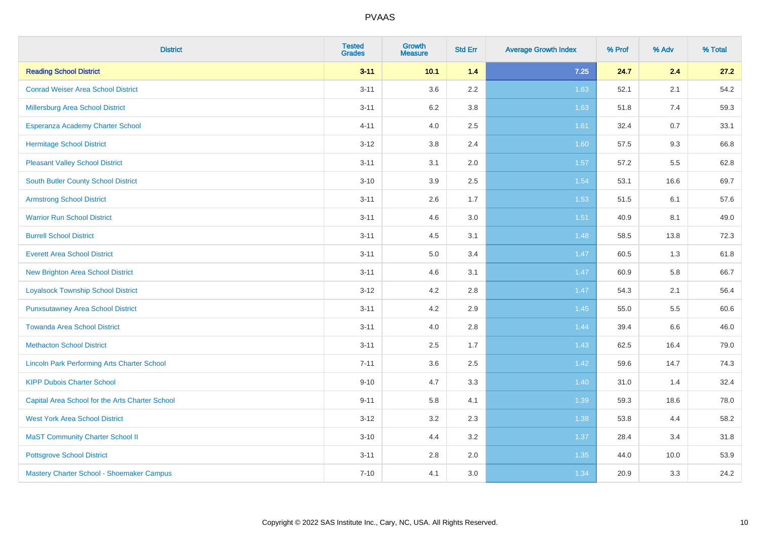| <b>District</b>                                    | <b>Tested</b><br><b>Grades</b> | <b>Growth</b><br><b>Measure</b> | <b>Std Err</b> | <b>Average Growth Index</b> | % Prof | % Adv   | % Total |
|----------------------------------------------------|--------------------------------|---------------------------------|----------------|-----------------------------|--------|---------|---------|
| <b>Reading School District</b>                     | $3 - 11$                       | 10.1                            | 1.4            | 7.25                        | 24.7   | 2.4     | 27.2    |
| <b>Conrad Weiser Area School District</b>          | $3 - 11$                       | 3.6                             | 2.2            | 1.63                        | 52.1   | 2.1     | 54.2    |
| Millersburg Area School District                   | $3 - 11$                       | 6.2                             | 3.8            | 1.63                        | 51.8   | 7.4     | 59.3    |
| <b>Esperanza Academy Charter School</b>            | $4 - 11$                       | 4.0                             | 2.5            | 1.61                        | 32.4   | 0.7     | 33.1    |
| <b>Hermitage School District</b>                   | $3 - 12$                       | 3.8                             | 2.4            | 1.60                        | 57.5   | 9.3     | 66.8    |
| <b>Pleasant Valley School District</b>             | $3 - 11$                       | 3.1                             | 2.0            | 1.57                        | 57.2   | 5.5     | 62.8    |
| <b>South Butler County School District</b>         | $3 - 10$                       | 3.9                             | 2.5            | 1.54                        | 53.1   | 16.6    | 69.7    |
| <b>Armstrong School District</b>                   | $3 - 11$                       | 2.6                             | 1.7            | 1.53                        | 51.5   | 6.1     | 57.6    |
| <b>Warrior Run School District</b>                 | $3 - 11$                       | 4.6                             | 3.0            | 1.51                        | 40.9   | 8.1     | 49.0    |
| <b>Burrell School District</b>                     | $3 - 11$                       | 4.5                             | 3.1            | 1.48                        | 58.5   | 13.8    | 72.3    |
| <b>Everett Area School District</b>                | $3 - 11$                       | 5.0                             | 3.4            | 1.47                        | 60.5   | 1.3     | 61.8    |
| <b>New Brighton Area School District</b>           | $3 - 11$                       | 4.6                             | 3.1            | 1.47                        | 60.9   | 5.8     | 66.7    |
| <b>Loyalsock Township School District</b>          | $3 - 12$                       | 4.2                             | 2.8            | 1.47                        | 54.3   | 2.1     | 56.4    |
| <b>Punxsutawney Area School District</b>           | $3 - 11$                       | 4.2                             | 2.9            | 1.45                        | 55.0   | 5.5     | 60.6    |
| <b>Towanda Area School District</b>                | $3 - 11$                       | 4.0                             | 2.8            | 1.44                        | 39.4   | $6.6\,$ | 46.0    |
| <b>Methacton School District</b>                   | $3 - 11$                       | 2.5                             | 1.7            | 1.43                        | 62.5   | 16.4    | 79.0    |
| <b>Lincoln Park Performing Arts Charter School</b> | $7 - 11$                       | 3.6                             | 2.5            | 1.42                        | 59.6   | 14.7    | 74.3    |
| <b>KIPP Dubois Charter School</b>                  | $9 - 10$                       | 4.7                             | 3.3            | 1.40                        | 31.0   | 1.4     | 32.4    |
| Capital Area School for the Arts Charter School    | $9 - 11$                       | 5.8                             | 4.1            | 1.39                        | 59.3   | 18.6    | 78.0    |
| <b>West York Area School District</b>              | $3 - 12$                       | 3.2                             | 2.3            | 1.38                        | 53.8   | 4.4     | 58.2    |
| <b>MaST Community Charter School II</b>            | $3 - 10$                       | 4.4                             | 3.2            | 1.37                        | 28.4   | 3.4     | 31.8    |
| <b>Pottsgrove School District</b>                  | $3 - 11$                       | 2.8                             | 2.0            | 1.35                        | 44.0   | 10.0    | 53.9    |
| Mastery Charter School - Shoemaker Campus          | $7 - 10$                       | 4.1                             | 3.0            | 1.34                        | 20.9   | 3.3     | 24.2    |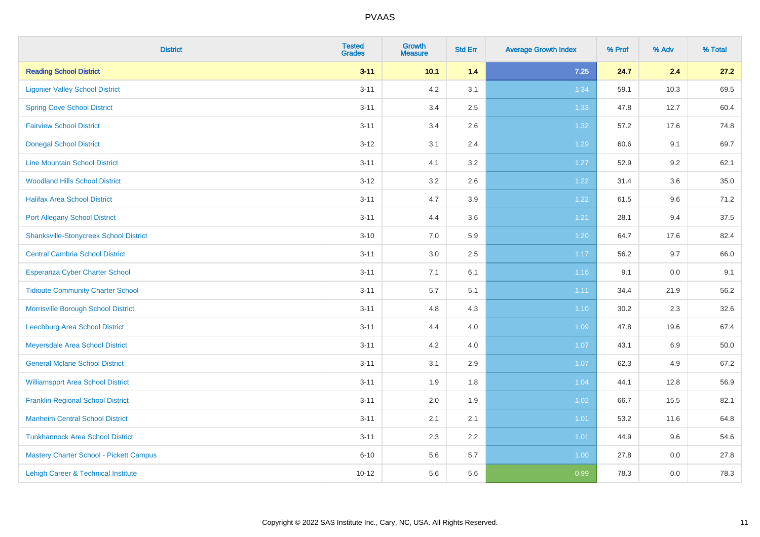| <b>District</b>                                | <b>Tested</b><br><b>Grades</b> | Growth<br><b>Measure</b> | <b>Std Err</b> | <b>Average Growth Index</b> | % Prof | % Adv | % Total |
|------------------------------------------------|--------------------------------|--------------------------|----------------|-----------------------------|--------|-------|---------|
| <b>Reading School District</b>                 | $3 - 11$                       | 10.1                     | $1.4$          | $7.25$                      | 24.7   | 2.4   | 27.2    |
| <b>Ligonier Valley School District</b>         | $3 - 11$                       | 4.2                      | 3.1            | 1.34                        | 59.1   | 10.3  | 69.5    |
| <b>Spring Cove School District</b>             | $3 - 11$                       | 3.4                      | 2.5            | 1.33                        | 47.8   | 12.7  | 60.4    |
| <b>Fairview School District</b>                | $3 - 11$                       | 3.4                      | 2.6            | 1.32                        | 57.2   | 17.6  | 74.8    |
| <b>Donegal School District</b>                 | $3 - 12$                       | 3.1                      | 2.4            | 1.29                        | 60.6   | 9.1   | 69.7    |
| <b>Line Mountain School District</b>           | $3 - 11$                       | 4.1                      | 3.2            | 1.27                        | 52.9   | 9.2   | 62.1    |
| <b>Woodland Hills School District</b>          | $3 - 12$                       | 3.2                      | 2.6            | 1.22                        | 31.4   | 3.6   | 35.0    |
| <b>Halifax Area School District</b>            | $3 - 11$                       | 4.7                      | 3.9            | 1.22                        | 61.5   | 9.6   | 71.2    |
| <b>Port Allegany School District</b>           | $3 - 11$                       | 4.4                      | 3.6            | 1.21                        | 28.1   | 9.4   | 37.5    |
| <b>Shanksville-Stonycreek School District</b>  | $3 - 10$                       | 7.0                      | 5.9            | 1.20                        | 64.7   | 17.6  | 82.4    |
| <b>Central Cambria School District</b>         | $3 - 11$                       | 3.0                      | 2.5            | 1.17                        | 56.2   | 9.7   | 66.0    |
| Esperanza Cyber Charter School                 | $3 - 11$                       | 7.1                      | 6.1            | $1.16$                      | 9.1    | 0.0   | 9.1     |
| <b>Tidioute Community Charter School</b>       | $3 - 11$                       | 5.7                      | 5.1            | 1.11                        | 34.4   | 21.9  | 56.2    |
| Morrisville Borough School District            | $3 - 11$                       | 4.8                      | 4.3            | 1.10                        | 30.2   | 2.3   | 32.6    |
| Leechburg Area School District                 | $3 - 11$                       | 4.4                      | 4.0            | 1.09                        | 47.8   | 19.6  | 67.4    |
| Meyersdale Area School District                | $3 - 11$                       | 4.2                      | 4.0            | 1.07                        | 43.1   | 6.9   | 50.0    |
| <b>General Mclane School District</b>          | $3 - 11$                       | 3.1                      | 2.9            | 1.07                        | 62.3   | 4.9   | 67.2    |
| <b>Williamsport Area School District</b>       | $3 - 11$                       | 1.9                      | 1.8            | 1.04                        | 44.1   | 12.8  | 56.9    |
| <b>Franklin Regional School District</b>       | $3 - 11$                       | 2.0                      | 1.9            | 1.02                        | 66.7   | 15.5  | 82.1    |
| <b>Manheim Central School District</b>         | $3 - 11$                       | 2.1                      | 2.1            | $1.01$                      | 53.2   | 11.6  | 64.8    |
| <b>Tunkhannock Area School District</b>        | $3 - 11$                       | 2.3                      | 2.2            | 1.01                        | 44.9   | 9.6   | 54.6    |
| <b>Mastery Charter School - Pickett Campus</b> | $6 - 10$                       | 5.6                      | 5.7            | 1.00                        | 27.8   | 0.0   | 27.8    |
| Lehigh Career & Technical Institute            | $10 - 12$                      | 5.6                      | 5.6            | 0.99                        | 78.3   | 0.0   | 78.3    |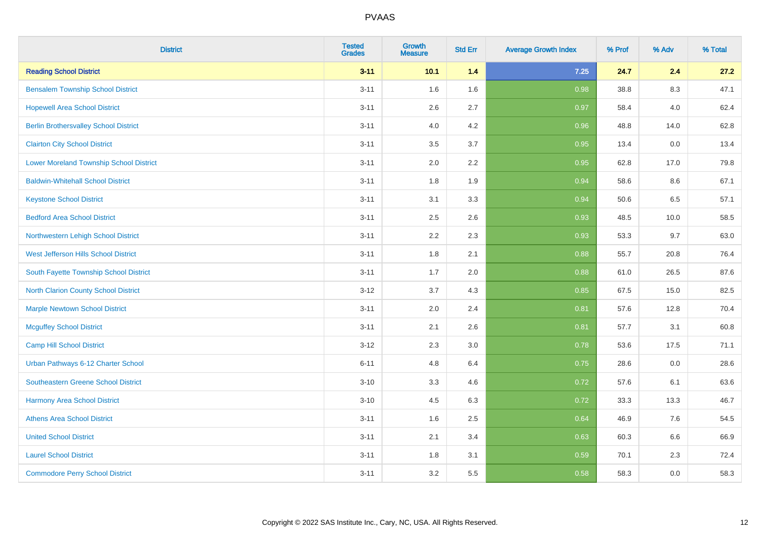| <b>District</b>                                | <b>Tested</b><br><b>Grades</b> | <b>Growth</b><br><b>Measure</b> | <b>Std Err</b> | <b>Average Growth Index</b> | % Prof | % Adv | % Total |
|------------------------------------------------|--------------------------------|---------------------------------|----------------|-----------------------------|--------|-------|---------|
| <b>Reading School District</b>                 | $3 - 11$                       | 10.1                            | 1.4            | $7.25$                      | 24.7   | 2.4   | 27.2    |
| <b>Bensalem Township School District</b>       | $3 - 11$                       | 1.6                             | 1.6            | 0.98                        | 38.8   | 8.3   | 47.1    |
| <b>Hopewell Area School District</b>           | $3 - 11$                       | 2.6                             | 2.7            | 0.97                        | 58.4   | 4.0   | 62.4    |
| <b>Berlin Brothersvalley School District</b>   | $3 - 11$                       | 4.0                             | 4.2            | 0.96                        | 48.8   | 14.0  | 62.8    |
| <b>Clairton City School District</b>           | $3 - 11$                       | 3.5                             | 3.7            | 0.95                        | 13.4   | 0.0   | 13.4    |
| <b>Lower Moreland Township School District</b> | $3 - 11$                       | 2.0                             | 2.2            | 0.95                        | 62.8   | 17.0  | 79.8    |
| <b>Baldwin-Whitehall School District</b>       | $3 - 11$                       | 1.8                             | 1.9            | 0.94                        | 58.6   | 8.6   | 67.1    |
| <b>Keystone School District</b>                | $3 - 11$                       | 3.1                             | 3.3            | 0.94                        | 50.6   | 6.5   | 57.1    |
| <b>Bedford Area School District</b>            | $3 - 11$                       | 2.5                             | 2.6            | 0.93                        | 48.5   | 10.0  | 58.5    |
| Northwestern Lehigh School District            | $3 - 11$                       | 2.2                             | 2.3            | 0.93                        | 53.3   | 9.7   | 63.0    |
| West Jefferson Hills School District           | $3 - 11$                       | 1.8                             | 2.1            | 0.88                        | 55.7   | 20.8  | 76.4    |
| South Fayette Township School District         | $3 - 11$                       | 1.7                             | 2.0            | 0.88                        | 61.0   | 26.5  | 87.6    |
| <b>North Clarion County School District</b>    | $3 - 12$                       | 3.7                             | 4.3            | 0.85                        | 67.5   | 15.0  | 82.5    |
| <b>Marple Newtown School District</b>          | $3 - 11$                       | 2.0                             | 2.4            | 0.81                        | 57.6   | 12.8  | 70.4    |
| <b>Mcguffey School District</b>                | $3 - 11$                       | 2.1                             | 2.6            | 0.81                        | 57.7   | 3.1   | 60.8    |
| <b>Camp Hill School District</b>               | $3 - 12$                       | 2.3                             | 3.0            | 0.78                        | 53.6   | 17.5  | 71.1    |
| Urban Pathways 6-12 Charter School             | $6 - 11$                       | 4.8                             | 6.4            | 0.75                        | 28.6   | 0.0   | 28.6    |
| Southeastern Greene School District            | $3 - 10$                       | 3.3                             | 4.6            | $\overline{0.72}$           | 57.6   | 6.1   | 63.6    |
| <b>Harmony Area School District</b>            | $3 - 10$                       | 4.5                             | 6.3            | 0.72                        | 33.3   | 13.3  | 46.7    |
| <b>Athens Area School District</b>             | $3 - 11$                       | 1.6                             | 2.5            | 0.64                        | 46.9   | 7.6   | 54.5    |
| <b>United School District</b>                  | $3 - 11$                       | 2.1                             | 3.4            | 0.63                        | 60.3   | 6.6   | 66.9    |
| <b>Laurel School District</b>                  | $3 - 11$                       | 1.8                             | 3.1            | 0.59                        | 70.1   | 2.3   | 72.4    |
| <b>Commodore Perry School District</b>         | $3 - 11$                       | 3.2                             | 5.5            | 0.58                        | 58.3   | 0.0   | 58.3    |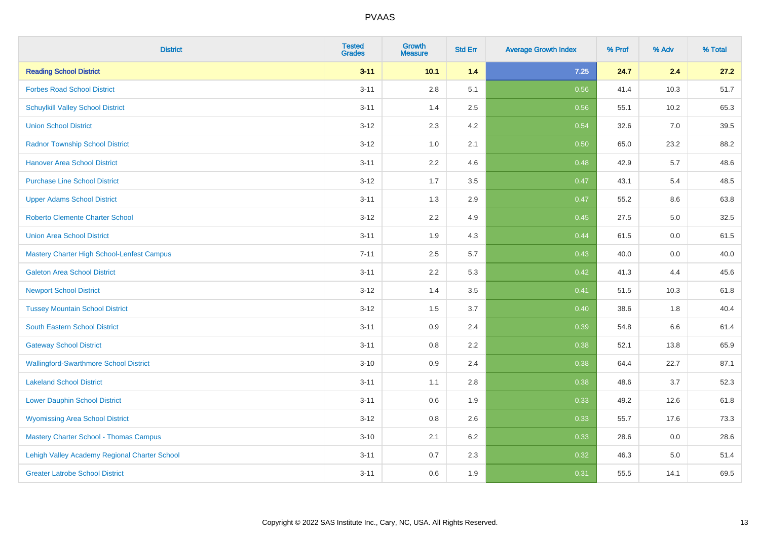| <b>District</b>                                   | <b>Tested</b><br><b>Grades</b> | <b>Growth</b><br><b>Measure</b> | <b>Std Err</b> | <b>Average Growth Index</b> | % Prof | % Adv | % Total |
|---------------------------------------------------|--------------------------------|---------------------------------|----------------|-----------------------------|--------|-------|---------|
| <b>Reading School District</b>                    | $3 - 11$                       | 10.1                            | 1.4            | 7.25                        | 24.7   | 2.4   | 27.2    |
| <b>Forbes Road School District</b>                | $3 - 11$                       | $2.8\,$                         | 5.1            | 0.56                        | 41.4   | 10.3  | 51.7    |
| <b>Schuylkill Valley School District</b>          | $3 - 11$                       | 1.4                             | 2.5            | 0.56                        | 55.1   | 10.2  | 65.3    |
| <b>Union School District</b>                      | $3 - 12$                       | 2.3                             | 4.2            | 0.54                        | 32.6   | 7.0   | 39.5    |
| <b>Radnor Township School District</b>            | $3 - 12$                       | 1.0                             | 2.1            | 0.50                        | 65.0   | 23.2  | 88.2    |
| <b>Hanover Area School District</b>               | $3 - 11$                       | 2.2                             | 4.6            | 0.48                        | 42.9   | 5.7   | 48.6    |
| <b>Purchase Line School District</b>              | $3 - 12$                       | 1.7                             | 3.5            | 0.47                        | 43.1   | 5.4   | 48.5    |
| <b>Upper Adams School District</b>                | $3 - 11$                       | 1.3                             | 2.9            | 0.47                        | 55.2   | 8.6   | 63.8    |
| <b>Roberto Clemente Charter School</b>            | $3 - 12$                       | 2.2                             | 4.9            | 0.45                        | 27.5   | 5.0   | 32.5    |
| <b>Union Area School District</b>                 | $3 - 11$                       | 1.9                             | 4.3            | 0.44                        | 61.5   | 0.0   | 61.5    |
| <b>Mastery Charter High School-Lenfest Campus</b> | $7 - 11$                       | 2.5                             | 5.7            | 0.43                        | 40.0   | 0.0   | 40.0    |
| <b>Galeton Area School District</b>               | $3 - 11$                       | 2.2                             | 5.3            | 0.42                        | 41.3   | 4.4   | 45.6    |
| <b>Newport School District</b>                    | $3 - 12$                       | 1.4                             | 3.5            | 0.41                        | 51.5   | 10.3  | 61.8    |
| <b>Tussey Mountain School District</b>            | $3 - 12$                       | 1.5                             | 3.7            | 0.40                        | 38.6   | 1.8   | 40.4    |
| <b>South Eastern School District</b>              | $3 - 11$                       | 0.9                             | 2.4            | 0.39                        | 54.8   | 6.6   | 61.4    |
| <b>Gateway School District</b>                    | $3 - 11$                       | $0.8\,$                         | 2.2            | 0.38                        | 52.1   | 13.8  | 65.9    |
| <b>Wallingford-Swarthmore School District</b>     | $3 - 10$                       | 0.9                             | 2.4            | 0.38                        | 64.4   | 22.7  | 87.1    |
| <b>Lakeland School District</b>                   | $3 - 11$                       | 1.1                             | 2.8            | 0.38                        | 48.6   | 3.7   | 52.3    |
| <b>Lower Dauphin School District</b>              | $3 - 11$                       | 0.6                             | 1.9            | 0.33                        | 49.2   | 12.6  | 61.8    |
| <b>Wyomissing Area School District</b>            | $3 - 12$                       | 0.8                             | 2.6            | 0.33                        | 55.7   | 17.6  | 73.3    |
| <b>Mastery Charter School - Thomas Campus</b>     | $3 - 10$                       | 2.1                             | 6.2            | 0.33                        | 28.6   | 0.0   | 28.6    |
| Lehigh Valley Academy Regional Charter School     | $3 - 11$                       | 0.7                             | 2.3            | 0.32                        | 46.3   | 5.0   | 51.4    |
| <b>Greater Latrobe School District</b>            | $3 - 11$                       | 0.6                             | 1.9            | 0.31                        | 55.5   | 14.1  | 69.5    |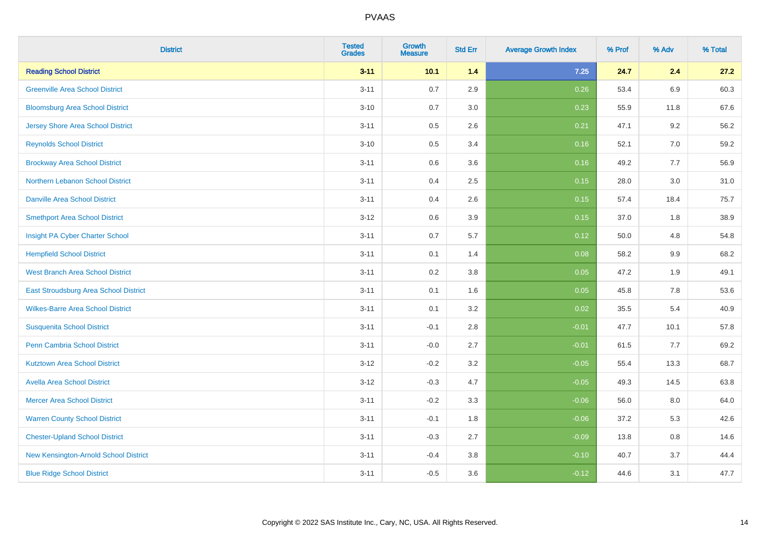| <b>District</b>                              | <b>Tested</b><br><b>Grades</b> | <b>Growth</b><br><b>Measure</b> | <b>Std Err</b> | <b>Average Growth Index</b> | % Prof | % Adv   | % Total |
|----------------------------------------------|--------------------------------|---------------------------------|----------------|-----------------------------|--------|---------|---------|
| <b>Reading School District</b>               | $3 - 11$                       | 10.1                            | 1.4            | $7.25$                      | 24.7   | 2.4     | 27.2    |
| <b>Greenville Area School District</b>       | $3 - 11$                       | $0.7\,$                         | 2.9            | 0.26                        | 53.4   | 6.9     | 60.3    |
| <b>Bloomsburg Area School District</b>       | $3 - 10$                       | 0.7                             | 3.0            | 0.23                        | 55.9   | 11.8    | 67.6    |
| <b>Jersey Shore Area School District</b>     | $3 - 11$                       | $0.5\,$                         | 2.6            | 0.21                        | 47.1   | 9.2     | 56.2    |
| <b>Reynolds School District</b>              | $3 - 10$                       | 0.5                             | 3.4            | 0.16                        | 52.1   | 7.0     | 59.2    |
| <b>Brockway Area School District</b>         | $3 - 11$                       | $0.6\,$                         | 3.6            | 0.16                        | 49.2   | 7.7     | 56.9    |
| Northern Lebanon School District             | $3 - 11$                       | 0.4                             | 2.5            | 0.15                        | 28.0   | 3.0     | 31.0    |
| <b>Danville Area School District</b>         | $3 - 11$                       | 0.4                             | 2.6            | 0.15                        | 57.4   | 18.4    | 75.7    |
| <b>Smethport Area School District</b>        | $3 - 12$                       | 0.6                             | 3.9            | 0.15                        | 37.0   | 1.8     | 38.9    |
| Insight PA Cyber Charter School              | $3 - 11$                       | $0.7\,$                         | 5.7            | 0.12                        | 50.0   | 4.8     | 54.8    |
| <b>Hempfield School District</b>             | $3 - 11$                       | 0.1                             | 1.4            | 0.08                        | 58.2   | 9.9     | 68.2    |
| <b>West Branch Area School District</b>      | $3 - 11$                       | 0.2                             | 3.8            | 0.05                        | 47.2   | 1.9     | 49.1    |
| <b>East Stroudsburg Area School District</b> | $3 - 11$                       | 0.1                             | 1.6            | 0.05                        | 45.8   | 7.8     | 53.6    |
| <b>Wilkes-Barre Area School District</b>     | $3 - 11$                       | 0.1                             | 3.2            | 0.02                        | 35.5   | 5.4     | 40.9    |
| <b>Susquenita School District</b>            | $3 - 11$                       | $-0.1$                          | 2.8            | $-0.01$                     | 47.7   | 10.1    | 57.8    |
| Penn Cambria School District                 | $3 - 11$                       | $-0.0$                          | 2.7            | $-0.01$                     | 61.5   | 7.7     | 69.2    |
| <b>Kutztown Area School District</b>         | $3 - 12$                       | $-0.2$                          | 3.2            | $-0.05$                     | 55.4   | 13.3    | 68.7    |
| <b>Avella Area School District</b>           | $3 - 12$                       | $-0.3$                          | 4.7            | $-0.05$                     | 49.3   | 14.5    | 63.8    |
| <b>Mercer Area School District</b>           | $3 - 11$                       | $-0.2$                          | 3.3            | $-0.06$                     | 56.0   | $8.0\,$ | 64.0    |
| <b>Warren County School District</b>         | $3 - 11$                       | $-0.1$                          | 1.8            | $-0.06$                     | 37.2   | 5.3     | 42.6    |
| <b>Chester-Upland School District</b>        | $3 - 11$                       | $-0.3$                          | 2.7            | $-0.09$                     | 13.8   | 0.8     | 14.6    |
| New Kensington-Arnold School District        | $3 - 11$                       | $-0.4$                          | 3.8            | $-0.10$                     | 40.7   | 3.7     | 44.4    |
| <b>Blue Ridge School District</b>            | $3 - 11$                       | $-0.5$                          | 3.6            | $-0.12$                     | 44.6   | 3.1     | 47.7    |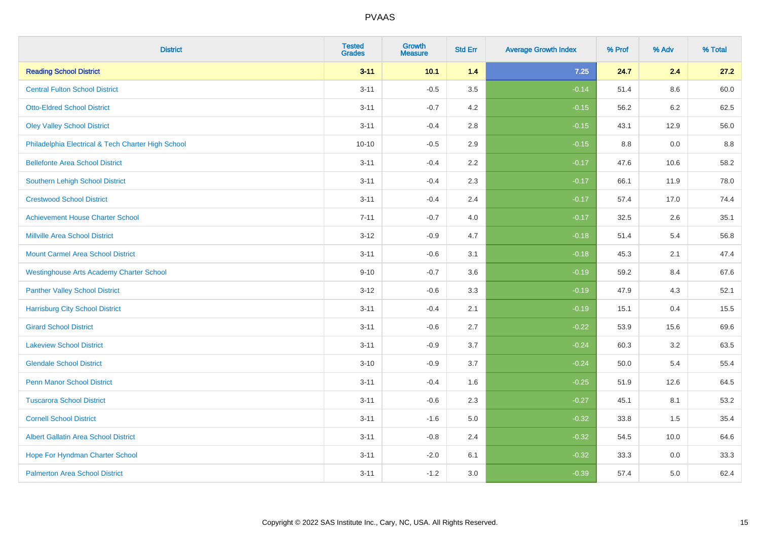| <b>District</b>                                    | <b>Tested</b><br><b>Grades</b> | <b>Growth</b><br><b>Measure</b> | <b>Std Err</b> | <b>Average Growth Index</b> | % Prof | % Adv   | % Total |
|----------------------------------------------------|--------------------------------|---------------------------------|----------------|-----------------------------|--------|---------|---------|
| <b>Reading School District</b>                     | $3 - 11$                       | 10.1                            | 1.4            | 7.25                        | 24.7   | 2.4     | 27.2    |
| <b>Central Fulton School District</b>              | $3 - 11$                       | $-0.5$                          | 3.5            | $-0.14$                     | 51.4   | $8.6\,$ | 60.0    |
| <b>Otto-Eldred School District</b>                 | $3 - 11$                       | $-0.7$                          | 4.2            | $-0.15$                     | 56.2   | 6.2     | 62.5    |
| <b>Oley Valley School District</b>                 | $3 - 11$                       | $-0.4$                          | 2.8            | $-0.15$                     | 43.1   | 12.9    | 56.0    |
| Philadelphia Electrical & Tech Charter High School | $10 - 10$                      | $-0.5$                          | 2.9            | $-0.15$                     | 8.8    | 0.0     | $8.8\,$ |
| <b>Bellefonte Area School District</b>             | $3 - 11$                       | $-0.4$                          | 2.2            | $-0.17$                     | 47.6   | 10.6    | 58.2    |
| <b>Southern Lehigh School District</b>             | $3 - 11$                       | $-0.4$                          | 2.3            | $-0.17$                     | 66.1   | 11.9    | 78.0    |
| <b>Crestwood School District</b>                   | $3 - 11$                       | $-0.4$                          | 2.4            | $-0.17$                     | 57.4   | 17.0    | 74.4    |
| <b>Achievement House Charter School</b>            | $7 - 11$                       | $-0.7$                          | 4.0            | $-0.17$                     | 32.5   | 2.6     | 35.1    |
| <b>Millville Area School District</b>              | $3 - 12$                       | $-0.9$                          | 4.7            | $-0.18$                     | 51.4   | 5.4     | 56.8    |
| <b>Mount Carmel Area School District</b>           | $3 - 11$                       | $-0.6$                          | 3.1            | $-0.18$                     | 45.3   | 2.1     | 47.4    |
| <b>Westinghouse Arts Academy Charter School</b>    | $9 - 10$                       | $-0.7$                          | 3.6            | $-0.19$                     | 59.2   | 8.4     | 67.6    |
| <b>Panther Valley School District</b>              | $3 - 12$                       | $-0.6$                          | 3.3            | $-0.19$                     | 47.9   | 4.3     | 52.1    |
| <b>Harrisburg City School District</b>             | $3 - 11$                       | $-0.4$                          | 2.1            | $-0.19$                     | 15.1   | 0.4     | 15.5    |
| <b>Girard School District</b>                      | $3 - 11$                       | $-0.6$                          | 2.7            | $-0.22$                     | 53.9   | 15.6    | 69.6    |
| <b>Lakeview School District</b>                    | $3 - 11$                       | $-0.9$                          | 3.7            | $-0.24$                     | 60.3   | 3.2     | 63.5    |
| <b>Glendale School District</b>                    | $3 - 10$                       | $-0.9$                          | 3.7            | $-0.24$                     | 50.0   | 5.4     | 55.4    |
| <b>Penn Manor School District</b>                  | $3 - 11$                       | $-0.4$                          | 1.6            | $-0.25$                     | 51.9   | 12.6    | 64.5    |
| <b>Tuscarora School District</b>                   | $3 - 11$                       | $-0.6$                          | 2.3            | $-0.27$                     | 45.1   | 8.1     | 53.2    |
| <b>Cornell School District</b>                     | $3 - 11$                       | $-1.6$                          | $5.0\,$        | $-0.32$                     | 33.8   | 1.5     | 35.4    |
| <b>Albert Gallatin Area School District</b>        | $3 - 11$                       | $-0.8$                          | 2.4            | $-0.32$                     | 54.5   | 10.0    | 64.6    |
| Hope For Hyndman Charter School                    | $3 - 11$                       | $-2.0$                          | 6.1            | $-0.32$                     | 33.3   | 0.0     | 33.3    |
| <b>Palmerton Area School District</b>              | $3 - 11$                       | $-1.2$                          | 3.0            | $-0.39$                     | 57.4   | 5.0     | 62.4    |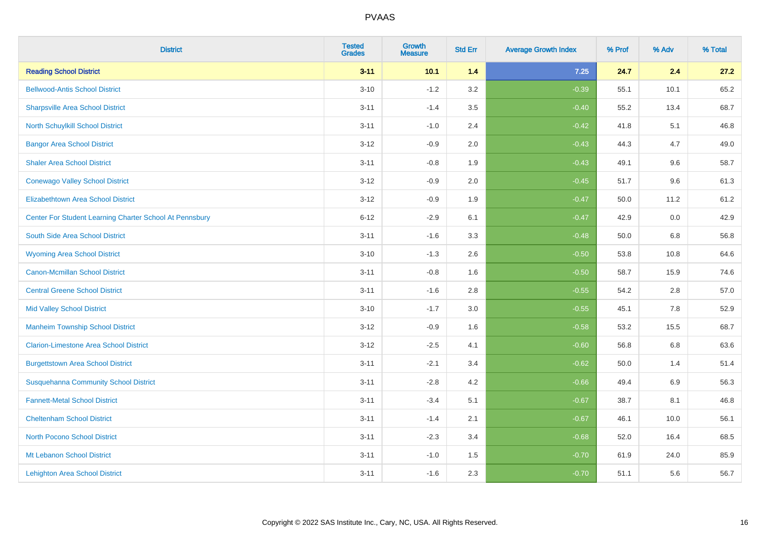| <b>District</b>                                         | <b>Tested</b><br><b>Grades</b> | <b>Growth</b><br><b>Measure</b> | <b>Std Err</b> | <b>Average Growth Index</b> | % Prof | % Adv   | % Total |
|---------------------------------------------------------|--------------------------------|---------------------------------|----------------|-----------------------------|--------|---------|---------|
| <b>Reading School District</b>                          | $3 - 11$                       | 10.1                            | 1.4            | 7.25                        | 24.7   | 2.4     | 27.2    |
| <b>Bellwood-Antis School District</b>                   | $3 - 10$                       | $-1.2$                          | 3.2            | $-0.39$                     | 55.1   | 10.1    | 65.2    |
| <b>Sharpsville Area School District</b>                 | $3 - 11$                       | $-1.4$                          | 3.5            | $-0.40$                     | 55.2   | 13.4    | 68.7    |
| North Schuylkill School District                        | $3 - 11$                       | $-1.0$                          | 2.4            | $-0.42$                     | 41.8   | 5.1     | 46.8    |
| <b>Bangor Area School District</b>                      | $3 - 12$                       | $-0.9$                          | 2.0            | $-0.43$                     | 44.3   | 4.7     | 49.0    |
| <b>Shaler Area School District</b>                      | $3 - 11$                       | $-0.8$                          | 1.9            | $-0.43$                     | 49.1   | 9.6     | 58.7    |
| <b>Conewago Valley School District</b>                  | $3 - 12$                       | $-0.9$                          | 2.0            | $-0.45$                     | 51.7   | 9.6     | 61.3    |
| <b>Elizabethtown Area School District</b>               | $3 - 12$                       | $-0.9$                          | 1.9            | $-0.47$                     | 50.0   | 11.2    | 61.2    |
| Center For Student Learning Charter School At Pennsbury | $6 - 12$                       | $-2.9$                          | 6.1            | $-0.47$                     | 42.9   | 0.0     | 42.9    |
| South Side Area School District                         | $3 - 11$                       | $-1.6$                          | 3.3            | $-0.48$                     | 50.0   | 6.8     | 56.8    |
| <b>Wyoming Area School District</b>                     | $3 - 10$                       | $-1.3$                          | 2.6            | $-0.50$                     | 53.8   | 10.8    | 64.6    |
| <b>Canon-Mcmillan School District</b>                   | $3 - 11$                       | $-0.8$                          | 1.6            | $-0.50$                     | 58.7   | 15.9    | 74.6    |
| <b>Central Greene School District</b>                   | $3 - 11$                       | $-1.6$                          | 2.8            | $-0.55$                     | 54.2   | 2.8     | 57.0    |
| <b>Mid Valley School District</b>                       | $3 - 10$                       | $-1.7$                          | 3.0            | $-0.55$                     | 45.1   | $7.8\,$ | 52.9    |
| <b>Manheim Township School District</b>                 | $3 - 12$                       | $-0.9$                          | 1.6            | $-0.58$                     | 53.2   | 15.5    | 68.7    |
| <b>Clarion-Limestone Area School District</b>           | $3 - 12$                       | $-2.5$                          | 4.1            | $-0.60$                     | 56.8   | 6.8     | 63.6    |
| <b>Burgettstown Area School District</b>                | $3 - 11$                       | $-2.1$                          | 3.4            | $-0.62$                     | 50.0   | 1.4     | 51.4    |
| <b>Susquehanna Community School District</b>            | $3 - 11$                       | $-2.8$                          | 4.2            | $-0.66$                     | 49.4   | 6.9     | 56.3    |
| <b>Fannett-Metal School District</b>                    | $3 - 11$                       | $-3.4$                          | 5.1            | $-0.67$                     | 38.7   | 8.1     | 46.8    |
| <b>Cheltenham School District</b>                       | $3 - 11$                       | $-1.4$                          | 2.1            | $-0.67$                     | 46.1   | 10.0    | 56.1    |
| <b>North Pocono School District</b>                     | $3 - 11$                       | $-2.3$                          | 3.4            | $-0.68$                     | 52.0   | 16.4    | 68.5    |
| Mt Lebanon School District                              | $3 - 11$                       | $-1.0$                          | 1.5            | $-0.70$                     | 61.9   | 24.0    | 85.9    |
| <b>Lehighton Area School District</b>                   | $3 - 11$                       | $-1.6$                          | 2.3            | $-0.70$                     | 51.1   | 5.6     | 56.7    |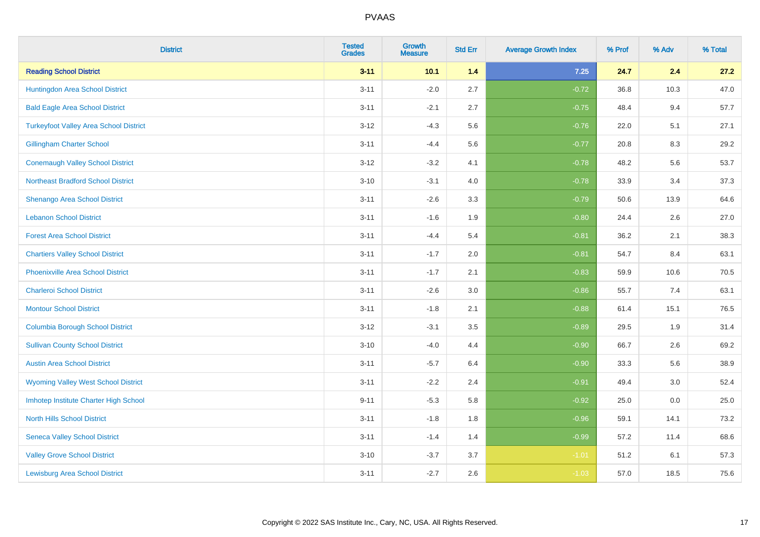| <b>District</b>                               | <b>Tested</b><br><b>Grades</b> | <b>Growth</b><br><b>Measure</b> | <b>Std Err</b> | <b>Average Growth Index</b> | % Prof | % Adv | % Total |
|-----------------------------------------------|--------------------------------|---------------------------------|----------------|-----------------------------|--------|-------|---------|
| <b>Reading School District</b>                | $3 - 11$                       | 10.1                            | 1.4            | 7.25                        | 24.7   | 2.4   | 27.2    |
| Huntingdon Area School District               | $3 - 11$                       | $-2.0$                          | 2.7            | $-0.72$                     | 36.8   | 10.3  | 47.0    |
| <b>Bald Eagle Area School District</b>        | $3 - 11$                       | $-2.1$                          | 2.7            | $-0.75$                     | 48.4   | 9.4   | 57.7    |
| <b>Turkeyfoot Valley Area School District</b> | $3 - 12$                       | $-4.3$                          | 5.6            | $-0.76$                     | 22.0   | 5.1   | 27.1    |
| <b>Gillingham Charter School</b>              | $3 - 11$                       | $-4.4$                          | 5.6            | $-0.77$                     | 20.8   | 8.3   | 29.2    |
| <b>Conemaugh Valley School District</b>       | $3 - 12$                       | $-3.2$                          | 4.1            | $-0.78$                     | 48.2   | 5.6   | 53.7    |
| <b>Northeast Bradford School District</b>     | $3 - 10$                       | $-3.1$                          | 4.0            | $-0.78$                     | 33.9   | 3.4   | 37.3    |
| Shenango Area School District                 | $3 - 11$                       | $-2.6$                          | 3.3            | $-0.79$                     | 50.6   | 13.9  | 64.6    |
| <b>Lebanon School District</b>                | $3 - 11$                       | $-1.6$                          | 1.9            | $-0.80$                     | 24.4   | 2.6   | 27.0    |
| <b>Forest Area School District</b>            | $3 - 11$                       | $-4.4$                          | 5.4            | $-0.81$                     | 36.2   | 2.1   | 38.3    |
| <b>Chartiers Valley School District</b>       | $3 - 11$                       | $-1.7$                          | 2.0            | $-0.81$                     | 54.7   | 8.4   | 63.1    |
| <b>Phoenixville Area School District</b>      | $3 - 11$                       | $-1.7$                          | 2.1            | $-0.83$                     | 59.9   | 10.6  | 70.5    |
| <b>Charleroi School District</b>              | $3 - 11$                       | $-2.6$                          | 3.0            | $-0.86$                     | 55.7   | 7.4   | 63.1    |
| <b>Montour School District</b>                | $3 - 11$                       | $-1.8$                          | 2.1            | $-0.88$                     | 61.4   | 15.1  | 76.5    |
| <b>Columbia Borough School District</b>       | $3 - 12$                       | $-3.1$                          | 3.5            | $-0.89$                     | 29.5   | 1.9   | 31.4    |
| <b>Sullivan County School District</b>        | $3 - 10$                       | $-4.0$                          | 4.4            | $-0.90$                     | 66.7   | 2.6   | 69.2    |
| <b>Austin Area School District</b>            | $3 - 11$                       | $-5.7$                          | 6.4            | $-0.90$                     | 33.3   | 5.6   | 38.9    |
| <b>Wyoming Valley West School District</b>    | $3 - 11$                       | $-2.2$                          | 2.4            | $-0.91$                     | 49.4   | 3.0   | 52.4    |
| Imhotep Institute Charter High School         | $9 - 11$                       | $-5.3$                          | 5.8            | $-0.92$                     | 25.0   | 0.0   | 25.0    |
| <b>North Hills School District</b>            | $3 - 11$                       | $-1.8$                          | 1.8            | $-0.96$                     | 59.1   | 14.1  | 73.2    |
| <b>Seneca Valley School District</b>          | $3 - 11$                       | $-1.4$                          | 1.4            | $-0.99$                     | 57.2   | 11.4  | 68.6    |
| <b>Valley Grove School District</b>           | $3 - 10$                       | $-3.7$                          | 3.7            | $-1.01$                     | 51.2   | 6.1   | 57.3    |
| <b>Lewisburg Area School District</b>         | $3 - 11$                       | $-2.7$                          | 2.6            | $-1.03$                     | 57.0   | 18.5  | 75.6    |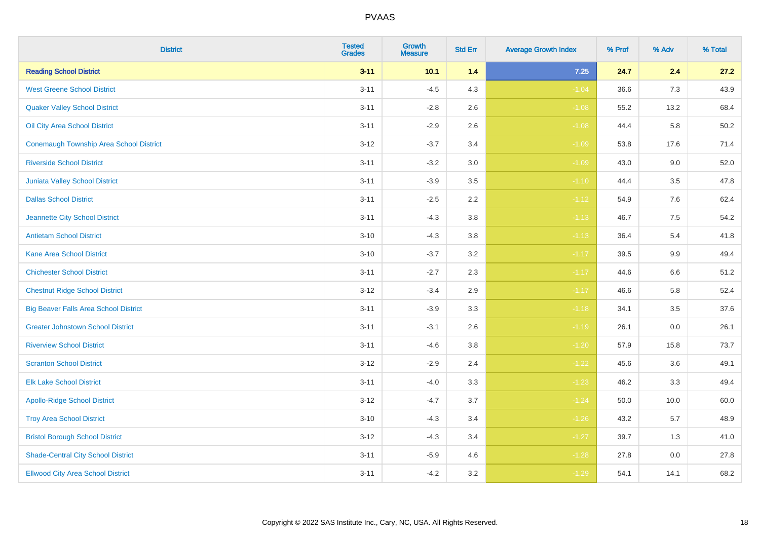| <b>District</b>                                | <b>Tested</b><br><b>Grades</b> | <b>Growth</b><br><b>Measure</b> | <b>Std Err</b> | <b>Average Growth Index</b> | % Prof | % Adv | % Total |
|------------------------------------------------|--------------------------------|---------------------------------|----------------|-----------------------------|--------|-------|---------|
| <b>Reading School District</b>                 | $3 - 11$                       | 10.1                            | 1.4            | 7.25                        | 24.7   | 2.4   | 27.2    |
| <b>West Greene School District</b>             | $3 - 11$                       | $-4.5$                          | 4.3            | $-1.04$                     | 36.6   | 7.3   | 43.9    |
| <b>Quaker Valley School District</b>           | $3 - 11$                       | $-2.8$                          | 2.6            | $-1.08$                     | 55.2   | 13.2  | 68.4    |
| Oil City Area School District                  | $3 - 11$                       | $-2.9$                          | 2.6            | $-1.08$                     | 44.4   | 5.8   | 50.2    |
| <b>Conemaugh Township Area School District</b> | $3 - 12$                       | $-3.7$                          | 3.4            | $-1.09$                     | 53.8   | 17.6  | 71.4    |
| <b>Riverside School District</b>               | $3 - 11$                       | $-3.2$                          | 3.0            | $-1.09$                     | 43.0   | 9.0   | 52.0    |
| Juniata Valley School District                 | $3 - 11$                       | $-3.9$                          | 3.5            | $-1.10$                     | 44.4   | 3.5   | 47.8    |
| <b>Dallas School District</b>                  | $3 - 11$                       | $-2.5$                          | 2.2            | $-1.12$                     | 54.9   | 7.6   | 62.4    |
| Jeannette City School District                 | $3 - 11$                       | $-4.3$                          | 3.8            | $-1.13$                     | 46.7   | 7.5   | 54.2    |
| <b>Antietam School District</b>                | $3 - 10$                       | $-4.3$                          | 3.8            | $-1.13$                     | 36.4   | 5.4   | 41.8    |
| <b>Kane Area School District</b>               | $3 - 10$                       | $-3.7$                          | 3.2            | $-1.17$                     | 39.5   | 9.9   | 49.4    |
| <b>Chichester School District</b>              | $3 - 11$                       | $-2.7$                          | 2.3            | $-1.17$                     | 44.6   | 6.6   | 51.2    |
| <b>Chestnut Ridge School District</b>          | $3 - 12$                       | $-3.4$                          | $2.9\,$        | $-1.17$                     | 46.6   | 5.8   | 52.4    |
| <b>Big Beaver Falls Area School District</b>   | $3 - 11$                       | $-3.9$                          | 3.3            | $-1.18$                     | 34.1   | 3.5   | 37.6    |
| <b>Greater Johnstown School District</b>       | $3 - 11$                       | $-3.1$                          | 2.6            | $-1.19$                     | 26.1   | 0.0   | 26.1    |
| <b>Riverview School District</b>               | $3 - 11$                       | $-4.6$                          | 3.8            | $-1.20$                     | 57.9   | 15.8  | 73.7    |
| <b>Scranton School District</b>                | $3 - 12$                       | $-2.9$                          | 2.4            | $-1.22$                     | 45.6   | 3.6   | 49.1    |
| <b>Elk Lake School District</b>                | $3 - 11$                       | $-4.0$                          | 3.3            | $-1.23$                     | 46.2   | 3.3   | 49.4    |
| <b>Apollo-Ridge School District</b>            | $3 - 12$                       | $-4.7$                          | 3.7            | $-1.24$                     | 50.0   | 10.0  | 60.0    |
| <b>Troy Area School District</b>               | $3 - 10$                       | $-4.3$                          | 3.4            | $-1.26$                     | 43.2   | 5.7   | 48.9    |
| <b>Bristol Borough School District</b>         | $3 - 12$                       | $-4.3$                          | 3.4            | $-1.27$                     | 39.7   | 1.3   | 41.0    |
| <b>Shade-Central City School District</b>      | $3 - 11$                       | $-5.9$                          | 4.6            | $-1.28$                     | 27.8   | 0.0   | 27.8    |
| <b>Ellwood City Area School District</b>       | $3 - 11$                       | $-4.2$                          | 3.2            | $-1.29$                     | 54.1   | 14.1  | 68.2    |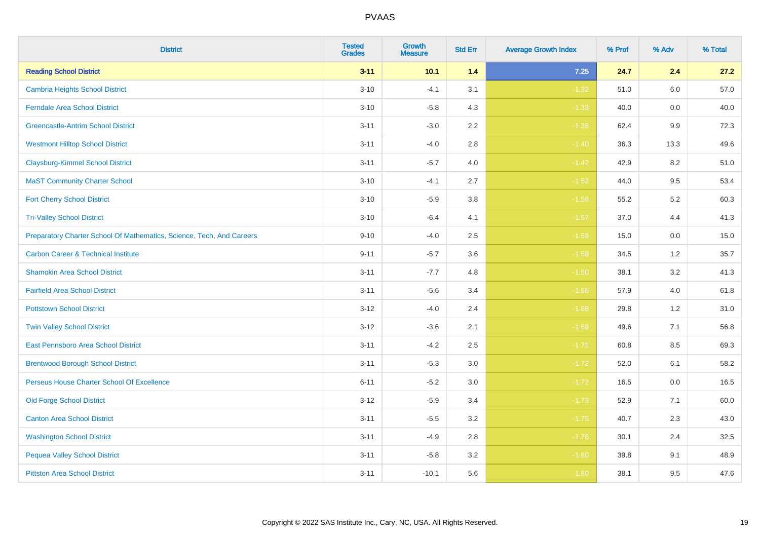| <b>District</b>                                                       | <b>Tested</b><br><b>Grades</b> | Growth<br><b>Measure</b> | <b>Std Err</b> | <b>Average Growth Index</b> | % Prof | % Adv   | % Total |
|-----------------------------------------------------------------------|--------------------------------|--------------------------|----------------|-----------------------------|--------|---------|---------|
| <b>Reading School District</b>                                        | $3 - 11$                       | 10.1                     | $1.4$          | $7.25$                      | 24.7   | 2.4     | 27.2    |
| <b>Cambria Heights School District</b>                                | $3 - 10$                       | $-4.1$                   | 3.1            | $-1.32$                     | 51.0   | 6.0     | 57.0    |
| <b>Ferndale Area School District</b>                                  | $3 - 10$                       | $-5.8$                   | 4.3            | $-1.33$                     | 40.0   | 0.0     | 40.0    |
| <b>Greencastle-Antrim School District</b>                             | $3 - 11$                       | $-3.0$                   | $2.2\,$        | $-1.36$                     | 62.4   | $9.9\,$ | 72.3    |
| <b>Westmont Hilltop School District</b>                               | $3 - 11$                       | $-4.0$                   | 2.8            | $-1.40$                     | 36.3   | 13.3    | 49.6    |
| <b>Claysburg-Kimmel School District</b>                               | $3 - 11$                       | $-5.7$                   | 4.0            | $-1.42$                     | 42.9   | 8.2     | 51.0    |
| <b>MaST Community Charter School</b>                                  | $3 - 10$                       | $-4.1$                   | 2.7            | $-1.52$                     | 44.0   | 9.5     | 53.4    |
| <b>Fort Cherry School District</b>                                    | $3 - 10$                       | $-5.9$                   | 3.8            | $-1.56$                     | 55.2   | 5.2     | 60.3    |
| <b>Tri-Valley School District</b>                                     | $3 - 10$                       | $-6.4$                   | 4.1            | $-1.57$                     | 37.0   | 4.4     | 41.3    |
| Preparatory Charter School Of Mathematics, Science, Tech, And Careers | $9 - 10$                       | $-4.0$                   | $2.5\,$        | $-1.59$                     | 15.0   | 0.0     | 15.0    |
| <b>Carbon Career &amp; Technical Institute</b>                        | $9 - 11$                       | $-5.7$                   | 3.6            | $-1.59$                     | 34.5   | 1.2     | 35.7    |
| <b>Shamokin Area School District</b>                                  | $3 - 11$                       | $-7.7$                   | 4.8            | $-1.60$                     | 38.1   | 3.2     | 41.3    |
| <b>Fairfield Area School District</b>                                 | $3 - 11$                       | $-5.6$                   | 3.4            | $-1.66$                     | 57.9   | 4.0     | 61.8    |
| <b>Pottstown School District</b>                                      | $3 - 12$                       | $-4.0$                   | 2.4            | $-1.68$                     | 29.8   | 1.2     | 31.0    |
| <b>Twin Valley School District</b>                                    | $3 - 12$                       | $-3.6$                   | 2.1            | $-1.69$                     | 49.6   | 7.1     | 56.8    |
| <b>East Pennsboro Area School District</b>                            | $3 - 11$                       | $-4.2$                   | 2.5            | $-1.71$                     | 60.8   | 8.5     | 69.3    |
| <b>Brentwood Borough School District</b>                              | $3 - 11$                       | $-5.3$                   | 3.0            | $-1.72$                     | 52.0   | 6.1     | 58.2    |
| Perseus House Charter School Of Excellence                            | $6 - 11$                       | $-5.2$                   | 3.0            | $-1.72$                     | 16.5   | 0.0     | 16.5    |
| <b>Old Forge School District</b>                                      | $3 - 12$                       | $-5.9$                   | 3.4            | $-1.73$                     | 52.9   | 7.1     | 60.0    |
| <b>Canton Area School District</b>                                    | $3 - 11$                       | $-5.5$                   | 3.2            | $-1.75$                     | 40.7   | 2.3     | 43.0    |
| <b>Washington School District</b>                                     | $3 - 11$                       | $-4.9$                   | 2.8            | $-1.76$                     | 30.1   | 2.4     | 32.5    |
| <b>Pequea Valley School District</b>                                  | $3 - 11$                       | $-5.8$                   | 3.2            | $-1.80$                     | 39.8   | 9.1     | 48.9    |
| <b>Pittston Area School District</b>                                  | $3 - 11$                       | $-10.1$                  | 5.6            | $-1.80$                     | 38.1   | 9.5     | 47.6    |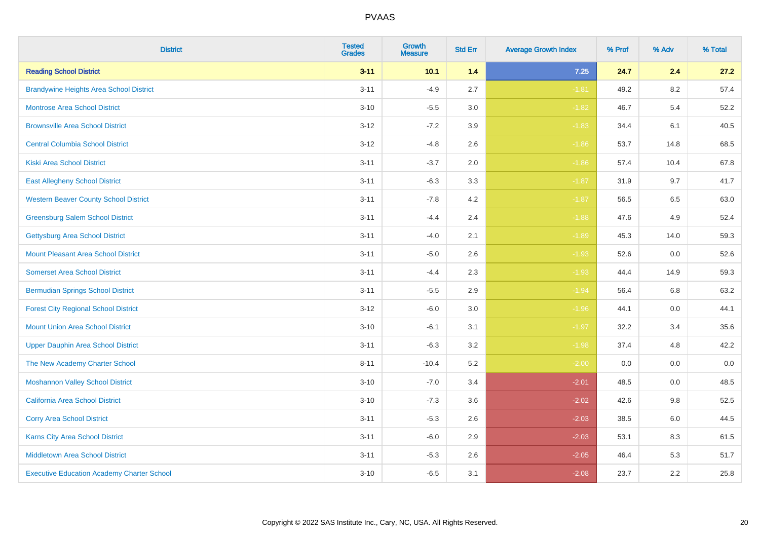| <b>District</b>                                   | <b>Tested</b><br><b>Grades</b> | Growth<br><b>Measure</b> | <b>Std Err</b> | <b>Average Growth Index</b> | % Prof | % Adv | % Total |
|---------------------------------------------------|--------------------------------|--------------------------|----------------|-----------------------------|--------|-------|---------|
| <b>Reading School District</b>                    | $3 - 11$                       | 10.1                     | $1.4$          | $7.25$                      | 24.7   | 2.4   | 27.2    |
| <b>Brandywine Heights Area School District</b>    | $3 - 11$                       | $-4.9$                   | 2.7            | $-1.81$                     | 49.2   | 8.2   | 57.4    |
| <b>Montrose Area School District</b>              | $3 - 10$                       | $-5.5$                   | 3.0            | $-1.82$                     | 46.7   | 5.4   | 52.2    |
| <b>Brownsville Area School District</b>           | $3 - 12$                       | $-7.2$                   | 3.9            | $-1.83$                     | 34.4   | 6.1   | 40.5    |
| <b>Central Columbia School District</b>           | $3 - 12$                       | $-4.8$                   | 2.6            | $-1.86$                     | 53.7   | 14.8  | 68.5    |
| <b>Kiski Area School District</b>                 | $3 - 11$                       | $-3.7$                   | 2.0            | $-1.86$                     | 57.4   | 10.4  | 67.8    |
| <b>East Allegheny School District</b>             | $3 - 11$                       | $-6.3$                   | 3.3            | $-1.87$                     | 31.9   | 9.7   | 41.7    |
| <b>Western Beaver County School District</b>      | $3 - 11$                       | $-7.8$                   | 4.2            | $-1.87$                     | 56.5   | 6.5   | 63.0    |
| <b>Greensburg Salem School District</b>           | $3 - 11$                       | $-4.4$                   | 2.4            | $-1.88$                     | 47.6   | 4.9   | 52.4    |
| <b>Gettysburg Area School District</b>            | $3 - 11$                       | $-4.0$                   | 2.1            | $-1.89$                     | 45.3   | 14.0  | 59.3    |
| <b>Mount Pleasant Area School District</b>        | $3 - 11$                       | $-5.0$                   | 2.6            | $-1.93$                     | 52.6   | 0.0   | 52.6    |
| <b>Somerset Area School District</b>              | $3 - 11$                       | $-4.4$                   | 2.3            | $-1.93$                     | 44.4   | 14.9  | 59.3    |
| <b>Bermudian Springs School District</b>          | $3 - 11$                       | $-5.5$                   | 2.9            | $-1.94$                     | 56.4   | 6.8   | 63.2    |
| <b>Forest City Regional School District</b>       | $3 - 12$                       | $-6.0$                   | 3.0            | $-1.96$                     | 44.1   | 0.0   | 44.1    |
| <b>Mount Union Area School District</b>           | $3 - 10$                       | $-6.1$                   | 3.1            | $-1.97$                     | 32.2   | 3.4   | 35.6    |
| <b>Upper Dauphin Area School District</b>         | $3 - 11$                       | $-6.3$                   | 3.2            | $-1.98$                     | 37.4   | 4.8   | 42.2    |
| The New Academy Charter School                    | $8 - 11$                       | $-10.4$                  | 5.2            | $-2.00$                     | 0.0    | 0.0   | $0.0\,$ |
| <b>Moshannon Valley School District</b>           | $3 - 10$                       | $-7.0$                   | 3.4            | $-2.01$                     | 48.5   | 0.0   | 48.5    |
| <b>California Area School District</b>            | $3 - 10$                       | $-7.3$                   | 3.6            | $-2.02$                     | 42.6   | 9.8   | 52.5    |
| <b>Corry Area School District</b>                 | $3 - 11$                       | $-5.3$                   | 2.6            | $-2.03$                     | 38.5   | 6.0   | 44.5    |
| <b>Karns City Area School District</b>            | $3 - 11$                       | $-6.0$                   | 2.9            | $-2.03$                     | 53.1   | 8.3   | 61.5    |
| <b>Middletown Area School District</b>            | $3 - 11$                       | $-5.3$                   | 2.6            | $-2.05$                     | 46.4   | 5.3   | 51.7    |
| <b>Executive Education Academy Charter School</b> | $3 - 10$                       | $-6.5$                   | 3.1            | $-2.08$                     | 23.7   | 2.2   | 25.8    |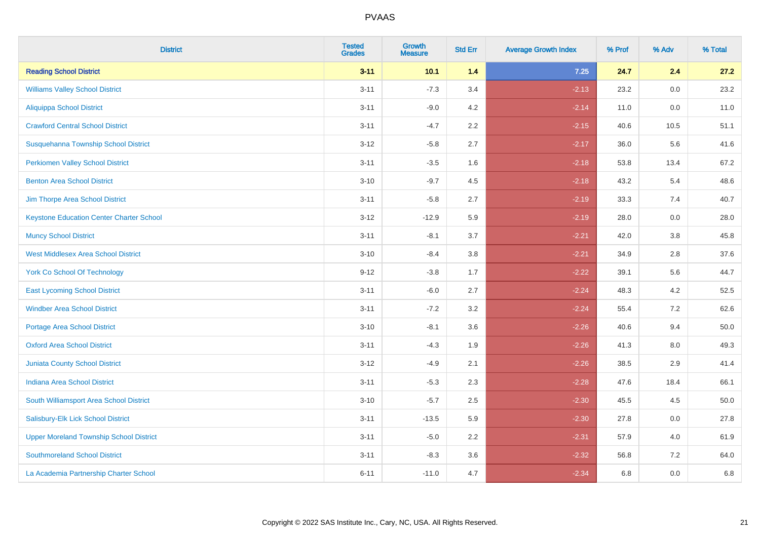| <b>District</b>                                 | <b>Tested</b><br><b>Grades</b> | <b>Growth</b><br><b>Measure</b> | <b>Std Err</b> | <b>Average Growth Index</b> | % Prof | % Adv | % Total |
|-------------------------------------------------|--------------------------------|---------------------------------|----------------|-----------------------------|--------|-------|---------|
| <b>Reading School District</b>                  | $3 - 11$                       | 10.1                            | 1.4            | $7.25$                      | 24.7   | 2.4   | 27.2    |
| <b>Williams Valley School District</b>          | $3 - 11$                       | $-7.3$                          | 3.4            | $-2.13$                     | 23.2   | 0.0   | 23.2    |
| Aliquippa School District                       | $3 - 11$                       | $-9.0$                          | 4.2            | $-2.14$                     | 11.0   | 0.0   | 11.0    |
| <b>Crawford Central School District</b>         | $3 - 11$                       | $-4.7$                          | 2.2            | $-2.15$                     | 40.6   | 10.5  | 51.1    |
| Susquehanna Township School District            | $3 - 12$                       | $-5.8$                          | 2.7            | $-2.17$                     | 36.0   | 5.6   | 41.6    |
| <b>Perkiomen Valley School District</b>         | $3 - 11$                       | $-3.5$                          | 1.6            | $-2.18$                     | 53.8   | 13.4  | 67.2    |
| <b>Benton Area School District</b>              | $3 - 10$                       | $-9.7$                          | 4.5            | $-2.18$                     | 43.2   | 5.4   | 48.6    |
| Jim Thorpe Area School District                 | $3 - 11$                       | $-5.8$                          | 2.7            | $-2.19$                     | 33.3   | 7.4   | 40.7    |
| <b>Keystone Education Center Charter School</b> | $3 - 12$                       | $-12.9$                         | 5.9            | $-2.19$                     | 28.0   | 0.0   | 28.0    |
| <b>Muncy School District</b>                    | $3 - 11$                       | $-8.1$                          | 3.7            | $-2.21$                     | 42.0   | 3.8   | 45.8    |
| <b>West Middlesex Area School District</b>      | $3 - 10$                       | $-8.4$                          | 3.8            | $-2.21$                     | 34.9   | 2.8   | 37.6    |
| <b>York Co School Of Technology</b>             | $9 - 12$                       | $-3.8$                          | 1.7            | $-2.22$                     | 39.1   | 5.6   | 44.7    |
| <b>East Lycoming School District</b>            | $3 - 11$                       | $-6.0$                          | 2.7            | $-2.24$                     | 48.3   | 4.2   | 52.5    |
| <b>Windber Area School District</b>             | $3 - 11$                       | $-7.2$                          | 3.2            | $-2.24$                     | 55.4   | 7.2   | 62.6    |
| <b>Portage Area School District</b>             | $3 - 10$                       | $-8.1$                          | 3.6            | $-2.26$                     | 40.6   | 9.4   | 50.0    |
| <b>Oxford Area School District</b>              | $3 - 11$                       | $-4.3$                          | 1.9            | $-2.26$                     | 41.3   | 8.0   | 49.3    |
| Juniata County School District                  | $3 - 12$                       | $-4.9$                          | 2.1            | $-2.26$                     | 38.5   | 2.9   | 41.4    |
| <b>Indiana Area School District</b>             | $3 - 11$                       | $-5.3$                          | 2.3            | $-2.28$                     | 47.6   | 18.4  | 66.1    |
| South Williamsport Area School District         | $3 - 10$                       | $-5.7$                          | 2.5            | $-2.30$                     | 45.5   | 4.5   | 50.0    |
| Salisbury-Elk Lick School District              | $3 - 11$                       | $-13.5$                         | 5.9            | $-2.30$                     | 27.8   | 0.0   | 27.8    |
| <b>Upper Moreland Township School District</b>  | $3 - 11$                       | $-5.0$                          | 2.2            | $-2.31$                     | 57.9   | 4.0   | 61.9    |
| <b>Southmoreland School District</b>            | $3 - 11$                       | $-8.3$                          | 3.6            | $-2.32$                     | 56.8   | 7.2   | 64.0    |
| La Academia Partnership Charter School          | $6 - 11$                       | $-11.0$                         | 4.7            | $-2.34$                     | 6.8    | 0.0   | 6.8     |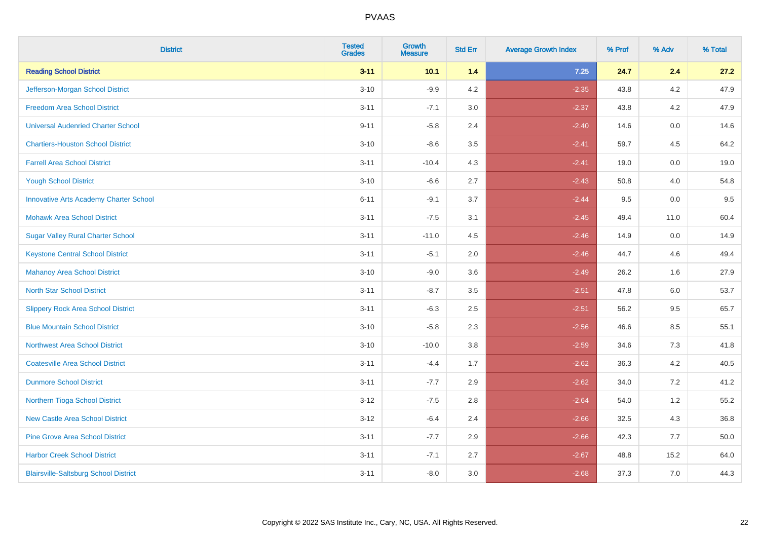| <b>District</b>                               | <b>Tested</b><br><b>Grades</b> | <b>Growth</b><br><b>Measure</b> | <b>Std Err</b> | <b>Average Growth Index</b> | % Prof | % Adv   | % Total |
|-----------------------------------------------|--------------------------------|---------------------------------|----------------|-----------------------------|--------|---------|---------|
| <b>Reading School District</b>                | $3 - 11$                       | 10.1                            | 1.4            | 7.25                        | 24.7   | 2.4     | 27.2    |
| Jefferson-Morgan School District              | $3 - 10$                       | $-9.9$                          | 4.2            | $-2.35$                     | 43.8   | $4.2\,$ | 47.9    |
| <b>Freedom Area School District</b>           | $3 - 11$                       | $-7.1$                          | 3.0            | $-2.37$                     | 43.8   | 4.2     | 47.9    |
| <b>Universal Audenried Charter School</b>     | $9 - 11$                       | $-5.8$                          | 2.4            | $-2.40$                     | 14.6   | 0.0     | 14.6    |
| <b>Chartiers-Houston School District</b>      | $3 - 10$                       | $-8.6$                          | 3.5            | $-2.41$                     | 59.7   | 4.5     | 64.2    |
| <b>Farrell Area School District</b>           | $3 - 11$                       | $-10.4$                         | 4.3            | $-2.41$                     | 19.0   | 0.0     | 19.0    |
| <b>Yough School District</b>                  | $3 - 10$                       | $-6.6$                          | 2.7            | $-2.43$                     | 50.8   | 4.0     | 54.8    |
| <b>Innovative Arts Academy Charter School</b> | $6 - 11$                       | $-9.1$                          | 3.7            | $-2.44$                     | 9.5    | 0.0     | 9.5     |
| <b>Mohawk Area School District</b>            | $3 - 11$                       | $-7.5$                          | 3.1            | $-2.45$                     | 49.4   | 11.0    | 60.4    |
| <b>Sugar Valley Rural Charter School</b>      | $3 - 11$                       | $-11.0$                         | 4.5            | $-2.46$                     | 14.9   | 0.0     | 14.9    |
| <b>Keystone Central School District</b>       | $3 - 11$                       | $-5.1$                          | 2.0            | $-2.46$                     | 44.7   | 4.6     | 49.4    |
| <b>Mahanoy Area School District</b>           | $3 - 10$                       | $-9.0$                          | 3.6            | $-2.49$                     | 26.2   | 1.6     | 27.9    |
| <b>North Star School District</b>             | $3 - 11$                       | $-8.7$                          | 3.5            | $-2.51$                     | 47.8   | 6.0     | 53.7    |
| <b>Slippery Rock Area School District</b>     | $3 - 11$                       | $-6.3$                          | 2.5            | $-2.51$                     | 56.2   | 9.5     | 65.7    |
| <b>Blue Mountain School District</b>          | $3 - 10$                       | $-5.8$                          | 2.3            | $-2.56$                     | 46.6   | 8.5     | 55.1    |
| <b>Northwest Area School District</b>         | $3 - 10$                       | $-10.0$                         | 3.8            | $-2.59$                     | 34.6   | 7.3     | 41.8    |
| <b>Coatesville Area School District</b>       | $3 - 11$                       | $-4.4$                          | 1.7            | $-2.62$                     | 36.3   | 4.2     | 40.5    |
| <b>Dunmore School District</b>                | $3 - 11$                       | $-7.7$                          | 2.9            | $-2.62$                     | 34.0   | 7.2     | 41.2    |
| Northern Tioga School District                | $3-12$                         | $-7.5$                          | 2.8            | $-2.64$                     | 54.0   | 1.2     | 55.2    |
| <b>New Castle Area School District</b>        | $3 - 12$                       | $-6.4$                          | 2.4            | $-2.66$                     | 32.5   | 4.3     | 36.8    |
| <b>Pine Grove Area School District</b>        | $3 - 11$                       | $-7.7$                          | 2.9            | $-2.66$                     | 42.3   | 7.7     | 50.0    |
| <b>Harbor Creek School District</b>           | $3 - 11$                       | $-7.1$                          | 2.7            | $-2.67$                     | 48.8   | 15.2    | 64.0    |
| <b>Blairsville-Saltsburg School District</b>  | $3 - 11$                       | $-8.0$                          | 3.0            | $-2.68$                     | 37.3   | 7.0     | 44.3    |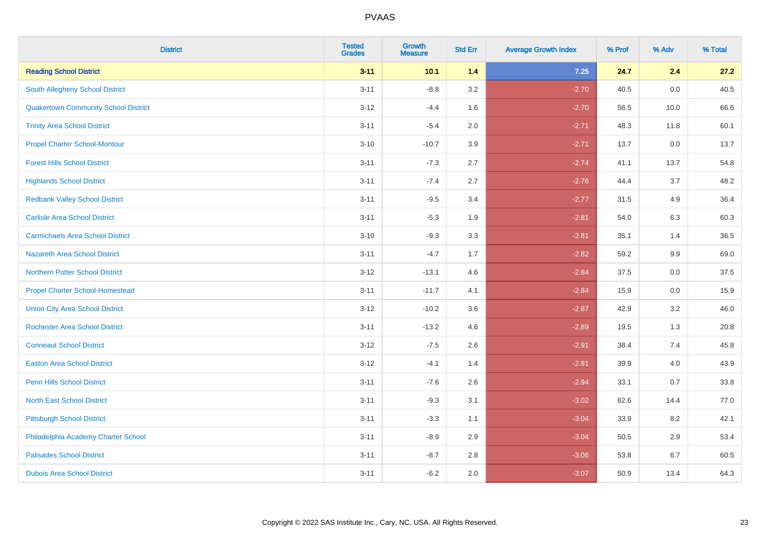| <b>District</b>                             | <b>Tested</b><br><b>Grades</b> | <b>Growth</b><br><b>Measure</b> | <b>Std Err</b> | <b>Average Growth Index</b> | % Prof | % Adv | % Total |
|---------------------------------------------|--------------------------------|---------------------------------|----------------|-----------------------------|--------|-------|---------|
| <b>Reading School District</b>              | $3 - 11$                       | 10.1                            | 1.4            | $7.25$                      | 24.7   | 2.4   | 27.2    |
| <b>South Allegheny School District</b>      | $3 - 11$                       | $-8.8$                          | 3.2            | $-2.70$                     | 40.5   | 0.0   | 40.5    |
| <b>Quakertown Community School District</b> | $3 - 12$                       | $-4.4$                          | 1.6            | $-2.70$                     | 56.5   | 10.0  | 66.6    |
| <b>Trinity Area School District</b>         | $3 - 11$                       | $-5.4$                          | 2.0            | $-2.71$                     | 48.3   | 11.8  | 60.1    |
| <b>Propel Charter School-Montour</b>        | $3 - 10$                       | $-10.7$                         | 3.9            | $-2.71$                     | 13.7   | 0.0   | 13.7    |
| <b>Forest Hills School District</b>         | $3 - 11$                       | $-7.3$                          | 2.7            | $-2.74$                     | 41.1   | 13.7  | 54.8    |
| <b>Highlands School District</b>            | $3 - 11$                       | $-7.4$                          | 2.7            | $-2.76$                     | 44.4   | 3.7   | 48.2    |
| <b>Redbank Valley School District</b>       | $3 - 11$                       | $-9.5$                          | 3.4            | $-2.77$                     | 31.5   | 4.9   | 36.4    |
| <b>Carlisle Area School District</b>        | $3 - 11$                       | $-5.3$                          | 1.9            | $-2.81$                     | 54.0   | 6.3   | 60.3    |
| <b>Carmichaels Area School District</b>     | $3 - 10$                       | $-9.3$                          | 3.3            | $-2.81$                     | 35.1   | 1.4   | 36.5    |
| Nazareth Area School District               | $3 - 11$                       | $-4.7$                          | 1.7            | $-2.82$                     | 59.2   | 9.9   | 69.0    |
| <b>Northern Potter School District</b>      | $3 - 12$                       | $-13.1$                         | 4.6            | $-2.84$                     | 37.5   | 0.0   | 37.5    |
| <b>Propel Charter School-Homestead</b>      | $3 - 11$                       | $-11.7$                         | 4.1            | $-2.84$                     | 15.9   | 0.0   | 15.9    |
| <b>Union City Area School District</b>      | $3-12$                         | $-10.2$                         | 3.6            | $-2.87$                     | 42.9   | 3.2   | 46.0    |
| <b>Rochester Area School District</b>       | $3 - 11$                       | $-13.2$                         | 4.6            | $-2.89$                     | 19.5   | 1.3   | 20.8    |
| <b>Conneaut School District</b>             | $3 - 12$                       | $-7.5$                          | 2.6            | $-2.91$                     | 38.4   | 7.4   | 45.8    |
| <b>Easton Area School District</b>          | $3 - 12$                       | $-4.1$                          | 1.4            | $-2.91$                     | 39.9   | 4.0   | 43.9    |
| <b>Penn Hills School District</b>           | $3 - 11$                       | $-7.6$                          | 2.6            | $-2.94$                     | 33.1   | 0.7   | 33.8    |
| <b>North East School District</b>           | $3 - 11$                       | $-9.3$                          | 3.1            | $-3.02$                     | 62.6   | 14.4  | 77.0    |
| <b>Pittsburgh School District</b>           | $3 - 11$                       | $-3.3$                          | 1.1            | $-3.04$                     | 33.9   | 8.2   | 42.1    |
| Philadelphia Academy Charter School         | $3 - 11$                       | $-8.9$                          | 2.9            | $-3.04$                     | 50.5   | 2.9   | 53.4    |
| <b>Palisades School District</b>            | $3 - 11$                       | $-8.7$                          | 2.8            | $-3.06$                     | 53.8   | 6.7   | 60.5    |
| <b>Dubois Area School District</b>          | $3 - 11$                       | $-6.2$                          | 2.0            | $-3.07$                     | 50.9   | 13.4  | 64.3    |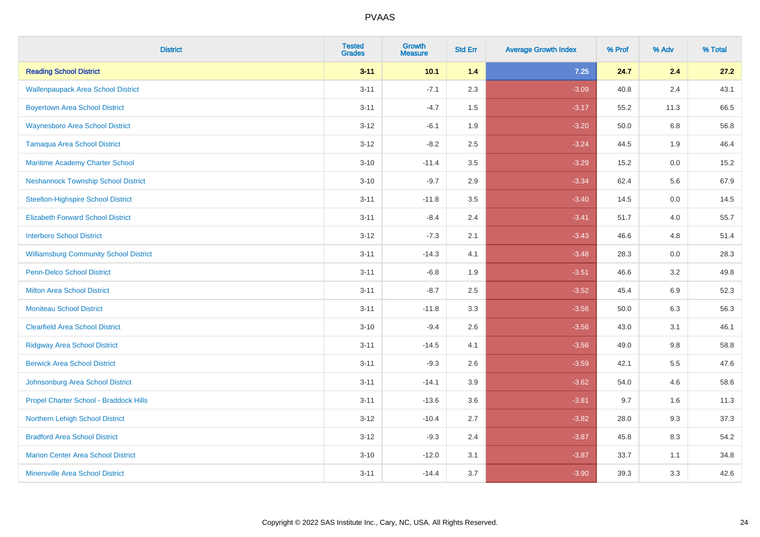| <b>District</b>                               | <b>Tested</b><br><b>Grades</b> | <b>Growth</b><br><b>Measure</b> | <b>Std Err</b> | <b>Average Growth Index</b> | % Prof | % Adv   | % Total |
|-----------------------------------------------|--------------------------------|---------------------------------|----------------|-----------------------------|--------|---------|---------|
| <b>Reading School District</b>                | $3 - 11$                       | 10.1                            | 1.4            | 7.25                        | 24.7   | 2.4     | 27.2    |
| <b>Wallenpaupack Area School District</b>     | $3 - 11$                       | $-7.1$                          | 2.3            | $-3.09$                     | 40.8   | 2.4     | 43.1    |
| <b>Boyertown Area School District</b>         | $3 - 11$                       | $-4.7$                          | 1.5            | $-3.17$                     | 55.2   | 11.3    | 66.5    |
| <b>Waynesboro Area School District</b>        | $3 - 12$                       | $-6.1$                          | 1.9            | $-3.20$                     | 50.0   | 6.8     | 56.8    |
| <b>Tamaqua Area School District</b>           | $3 - 12$                       | $-8.2$                          | 2.5            | $-3.24$                     | 44.5   | 1.9     | 46.4    |
| Maritime Academy Charter School               | $3 - 10$                       | $-11.4$                         | 3.5            | $-3.29$                     | 15.2   | 0.0     | 15.2    |
| <b>Neshannock Township School District</b>    | $3 - 10$                       | $-9.7$                          | 2.9            | $-3.34$                     | 62.4   | 5.6     | 67.9    |
| <b>Steelton-Highspire School District</b>     | $3 - 11$                       | $-11.8$                         | 3.5            | $-3.40$                     | 14.5   | 0.0     | 14.5    |
| <b>Elizabeth Forward School District</b>      | $3 - 11$                       | $-8.4$                          | 2.4            | $-3.41$                     | 51.7   | 4.0     | 55.7    |
| <b>Interboro School District</b>              | $3 - 12$                       | $-7.3$                          | 2.1            | $-3.43$                     | 46.6   | 4.8     | 51.4    |
| <b>Williamsburg Community School District</b> | $3 - 11$                       | $-14.3$                         | 4.1            | $-3.48$                     | 28.3   | 0.0     | 28.3    |
| <b>Penn-Delco School District</b>             | $3 - 11$                       | $-6.8$                          | 1.9            | $-3.51$                     | 46.6   | 3.2     | 49.8    |
| <b>Milton Area School District</b>            | $3 - 11$                       | $-8.7$                          | 2.5            | $-3.52$                     | 45.4   | $6.9\,$ | 52.3    |
| <b>Moniteau School District</b>               | $3 - 11$                       | $-11.8$                         | 3.3            | $-3.56$                     | 50.0   | 6.3     | 56.3    |
| <b>Clearfield Area School District</b>        | $3 - 10$                       | $-9.4$                          | 2.6            | $-3.56$                     | 43.0   | 3.1     | 46.1    |
| <b>Ridgway Area School District</b>           | $3 - 11$                       | $-14.5$                         | 4.1            | $-3.56$                     | 49.0   | $9.8\,$ | 58.8    |
| <b>Berwick Area School District</b>           | $3 - 11$                       | $-9.3$                          | 2.6            | $-3.59$                     | 42.1   | 5.5     | 47.6    |
| Johnsonburg Area School District              | $3 - 11$                       | $-14.1$                         | 3.9            | $-3.62$                     | 54.0   | 4.6     | 58.6    |
| Propel Charter School - Braddock Hills        | $3 - 11$                       | $-13.6$                         | 3.6            | $-3.81$                     | 9.7    | 1.6     | 11.3    |
| Northern Lehigh School District               | $3 - 12$                       | $-10.4$                         | 2.7            | $-3.82$                     | 28.0   | 9.3     | 37.3    |
| <b>Bradford Area School District</b>          | $3 - 12$                       | $-9.3$                          | 2.4            | $-3.87$                     | 45.8   | 8.3     | 54.2    |
| <b>Marion Center Area School District</b>     | $3 - 10$                       | $-12.0$                         | 3.1            | $-3.87$                     | 33.7   | 1.1     | 34.8    |
| <b>Minersville Area School District</b>       | $3 - 11$                       | $-14.4$                         | 3.7            | $-3.90$                     | 39.3   | 3.3     | 42.6    |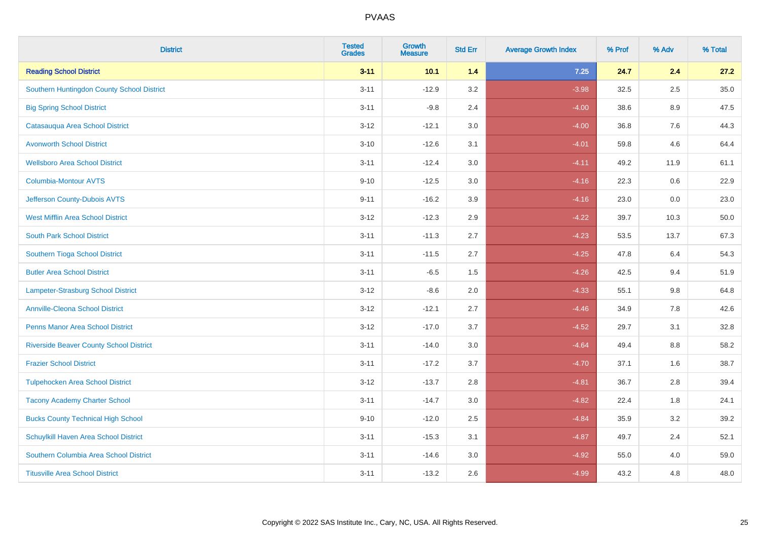| <b>District</b>                                | <b>Tested</b><br><b>Grades</b> | <b>Growth</b><br><b>Measure</b> | <b>Std Err</b> | <b>Average Growth Index</b> | % Prof | % Adv   | % Total |
|------------------------------------------------|--------------------------------|---------------------------------|----------------|-----------------------------|--------|---------|---------|
| <b>Reading School District</b>                 | $3 - 11$                       | 10.1                            | 1.4            | 7.25                        | 24.7   | 2.4     | 27.2    |
| Southern Huntingdon County School District     | $3 - 11$                       | $-12.9$                         | 3.2            | $-3.98$                     | 32.5   | 2.5     | 35.0    |
| <b>Big Spring School District</b>              | $3 - 11$                       | $-9.8$                          | 2.4            | $-4.00$                     | 38.6   | 8.9     | 47.5    |
| Catasauqua Area School District                | $3 - 12$                       | $-12.1$                         | 3.0            | $-4.00$                     | 36.8   | $7.6\,$ | 44.3    |
| <b>Avonworth School District</b>               | $3 - 10$                       | $-12.6$                         | 3.1            | $-4.01$                     | 59.8   | 4.6     | 64.4    |
| <b>Wellsboro Area School District</b>          | $3 - 11$                       | $-12.4$                         | 3.0            | $-4.11$                     | 49.2   | 11.9    | 61.1    |
| <b>Columbia-Montour AVTS</b>                   | $9 - 10$                       | $-12.5$                         | 3.0            | $-4.16$                     | 22.3   | 0.6     | 22.9    |
| Jefferson County-Dubois AVTS                   | $9 - 11$                       | $-16.2$                         | 3.9            | $-4.16$                     | 23.0   | 0.0     | 23.0    |
| <b>West Mifflin Area School District</b>       | $3 - 12$                       | $-12.3$                         | 2.9            | $-4.22$                     | 39.7   | 10.3    | 50.0    |
| <b>South Park School District</b>              | $3 - 11$                       | $-11.3$                         | 2.7            | $-4.23$                     | 53.5   | 13.7    | 67.3    |
| Southern Tioga School District                 | $3 - 11$                       | $-11.5$                         | 2.7            | $-4.25$                     | 47.8   | 6.4     | 54.3    |
| <b>Butler Area School District</b>             | $3 - 11$                       | $-6.5$                          | 1.5            | $-4.26$                     | 42.5   | 9.4     | 51.9    |
| <b>Lampeter-Strasburg School District</b>      | $3 - 12$                       | $-8.6$                          | 2.0            | $-4.33$                     | 55.1   | 9.8     | 64.8    |
| <b>Annville-Cleona School District</b>         | $3 - 12$                       | $-12.1$                         | 2.7            | $-4.46$                     | 34.9   | $7.8\,$ | 42.6    |
| <b>Penns Manor Area School District</b>        | $3 - 12$                       | $-17.0$                         | 3.7            | $-4.52$                     | 29.7   | 3.1     | 32.8    |
| <b>Riverside Beaver County School District</b> | $3 - 11$                       | $-14.0$                         | 3.0            | $-4.64$                     | 49.4   | 8.8     | 58.2    |
| <b>Frazier School District</b>                 | $3 - 11$                       | $-17.2$                         | 3.7            | $-4.70$                     | 37.1   | 1.6     | 38.7    |
| <b>Tulpehocken Area School District</b>        | $3 - 12$                       | $-13.7$                         | 2.8            | $-4.81$                     | 36.7   | 2.8     | 39.4    |
| <b>Tacony Academy Charter School</b>           | $3 - 11$                       | $-14.7$                         | 3.0            | $-4.82$                     | 22.4   | 1.8     | 24.1    |
| <b>Bucks County Technical High School</b>      | $9 - 10$                       | $-12.0$                         | 2.5            | $-4.84$                     | 35.9   | 3.2     | 39.2    |
| Schuylkill Haven Area School District          | $3 - 11$                       | $-15.3$                         | 3.1            | $-4.87$                     | 49.7   | 2.4     | 52.1    |
| Southern Columbia Area School District         | $3 - 11$                       | $-14.6$                         | 3.0            | $-4.92$                     | 55.0   | 4.0     | 59.0    |
| <b>Titusville Area School District</b>         | $3 - 11$                       | $-13.2$                         | 2.6            | $-4.99$                     | 43.2   | 4.8     | 48.0    |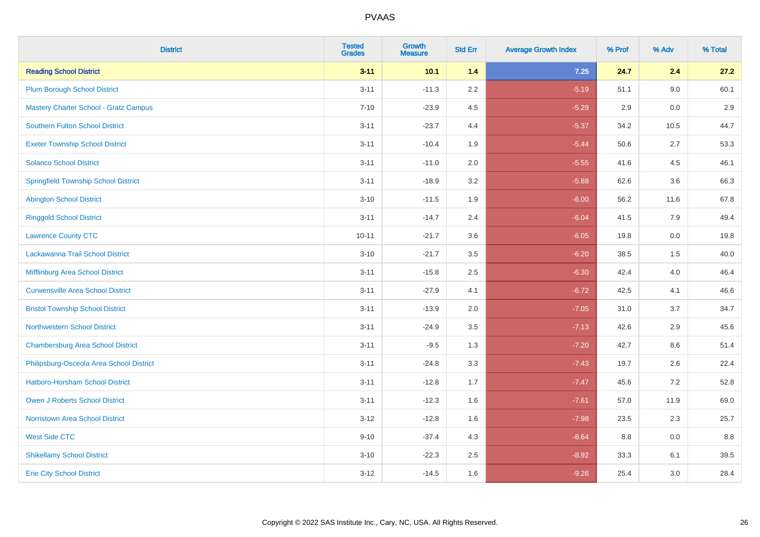| <b>District</b>                              | <b>Tested</b><br><b>Grades</b> | <b>Growth</b><br><b>Measure</b> | <b>Std Err</b> | <b>Average Growth Index</b> | % Prof | % Adv | % Total |
|----------------------------------------------|--------------------------------|---------------------------------|----------------|-----------------------------|--------|-------|---------|
| <b>Reading School District</b>               | $3 - 11$                       | 10.1                            | 1.4            | 7.25                        | 24.7   | 2.4   | 27.2    |
| <b>Plum Borough School District</b>          | $3 - 11$                       | $-11.3$                         | 2.2            | $-5.19$                     | 51.1   | 9.0   | 60.1    |
| <b>Mastery Charter School - Gratz Campus</b> | $7 - 10$                       | $-23.9$                         | 4.5            | $-5.29$                     | 2.9    | 0.0   | 2.9     |
| <b>Southern Fulton School District</b>       | $3 - 11$                       | $-23.7$                         | 4.4            | $-5.37$                     | 34.2   | 10.5  | 44.7    |
| <b>Exeter Township School District</b>       | $3 - 11$                       | $-10.4$                         | 1.9            | $-5.44$                     | 50.6   | 2.7   | 53.3    |
| <b>Solanco School District</b>               | $3 - 11$                       | $-11.0$                         | 2.0            | $-5.55$                     | 41.6   | 4.5   | 46.1    |
| <b>Springfield Township School District</b>  | $3 - 11$                       | $-18.9$                         | 3.2            | $-5.88$                     | 62.6   | 3.6   | 66.3    |
| <b>Abington School District</b>              | $3 - 10$                       | $-11.5$                         | 1.9            | $-6.00$                     | 56.2   | 11.6  | 67.8    |
| <b>Ringgold School District</b>              | $3 - 11$                       | $-14.7$                         | 2.4            | $-6.04$                     | 41.5   | 7.9   | 49.4    |
| <b>Lawrence County CTC</b>                   | $10 - 11$                      | $-21.7$                         | 3.6            | $-6.05$                     | 19.8   | 0.0   | 19.8    |
| Lackawanna Trail School District             | $3 - 10$                       | $-21.7$                         | 3.5            | $-6.20$                     | 38.5   | 1.5   | 40.0    |
| Mifflinburg Area School District             | $3 - 11$                       | $-15.8$                         | 2.5            | $-6.30$                     | 42.4   | 4.0   | 46.4    |
| <b>Curwensville Area School District</b>     | $3 - 11$                       | $-27.9$                         | 4.1            | $-6.72$                     | 42.5   | 4.1   | 46.6    |
| <b>Bristol Township School District</b>      | $3 - 11$                       | $-13.9$                         | 2.0            | $-7.05$                     | 31.0   | 3.7   | 34.7    |
| <b>Northwestern School District</b>          | $3 - 11$                       | $-24.9$                         | 3.5            | $-7.13$                     | 42.6   | 2.9   | 45.6    |
| <b>Chambersburg Area School District</b>     | $3 - 11$                       | $-9.5$                          | 1.3            | $-7.20$                     | 42.7   | 8.6   | 51.4    |
| Philipsburg-Osceola Area School District     | $3 - 11$                       | $-24.8$                         | 3.3            | $-7.43$                     | 19.7   | 2.6   | 22.4    |
| Hatboro-Horsham School District              | $3 - 11$                       | $-12.8$                         | 1.7            | $-7.47$                     | 45.6   | 7.2   | 52.8    |
| <b>Owen J Roberts School District</b>        | $3 - 11$                       | $-12.3$                         | 1.6            | $-7.61$                     | 57.0   | 11.9  | 69.0    |
| Norristown Area School District              | $3 - 12$                       | $-12.8$                         | 1.6            | $-7.98$                     | 23.5   | 2.3   | 25.7    |
| <b>West Side CTC</b>                         | $9 - 10$                       | $-37.4$                         | 4.3            | $-8.64$                     | 8.8    | 0.0   | 8.8     |
| <b>Shikellamy School District</b>            | $3 - 10$                       | $-22.3$                         | 2.5            | $-8.92$                     | 33.3   | 6.1   | 39.5    |
| <b>Erie City School District</b>             | $3 - 12$                       | $-14.5$                         | 1.6            | $-9.26$                     | 25.4   | 3.0   | 28.4    |